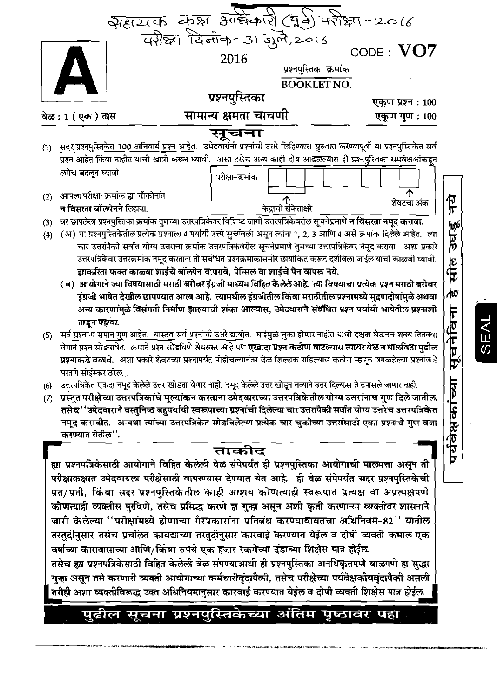

# पुढील सूचना प्रश्नपुस्तिकेच्या अंतिम पृष्ठावर पहा

SEAI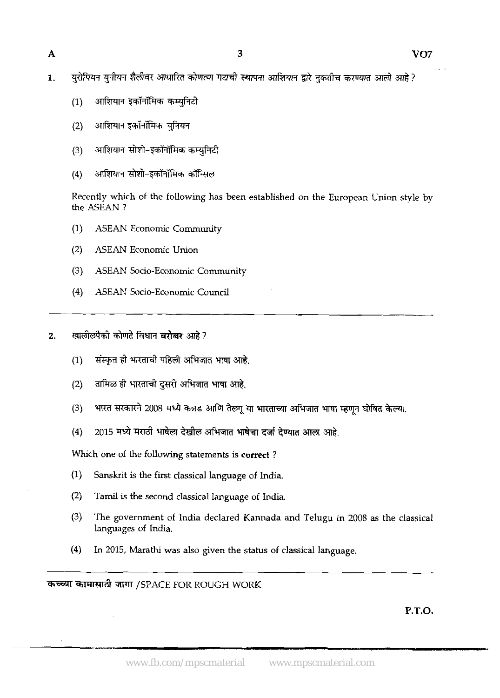- युरोपियन युनीयन शैलीवर आधारित कोणत्या गटाची स्थापना आशियान द्वारे नुकतीच करण्यात आली आहे ?  $\mathbf{1}$ .
	- आशियान इकॉनॉमिक कम्यनिटी  $(1)$
	- आशियान इकॉनॉमिक युनियन  $(2)$
	- आशियान सोशो-इकॉनॉमिक कम्युनिटी  $(3)$
	- आशियान सोशो-इकॉनॉमिक कॉन्सिल  $(4)$

Recently which of the following has been established on the European Union style by the ASEAN ?

- (1) ASEAN Economic Community
- (2) ASEAN Economic Union
- **(3)** ASEAN Socio-Economic Community
- (4) ASEAN Socio-Economic Council

खालीलपैकी कोणते विधान **बरोबर** आहे?  $2.$ 

- संस्कृत ही भारताची पहिली अभिजात भाषा आहे.  $(1)$
- तामिळ ही भारताची दुसरी अभिजात भाषा आहे.  $(2)$
- भारत सरकारने 2008 मध्ये कन्नड आणि तेल्गू या भारताच्या अभिजात भाषा म्हणून घोषित केल्या.  $(3)$
- 2015 मध्ये मराठी भाषेला देखील अभिजात भाषेचा दर्जा देण्यात आला आहे.  $(4)$

Which one of the following statements is **correct** ?

- (1) Sanskrit is the first classical language of India.
- (2) Tamil is the second classical language of India,
- (3) The government of India declared Kannada and Telugu in 2008 as the classical languages of India.
- (4) In 2015, Marathi was also given the status of classical language.

कच्च्या कामासाठी जागा /SPACE FOR ROUGH WORK

P.T.O.

-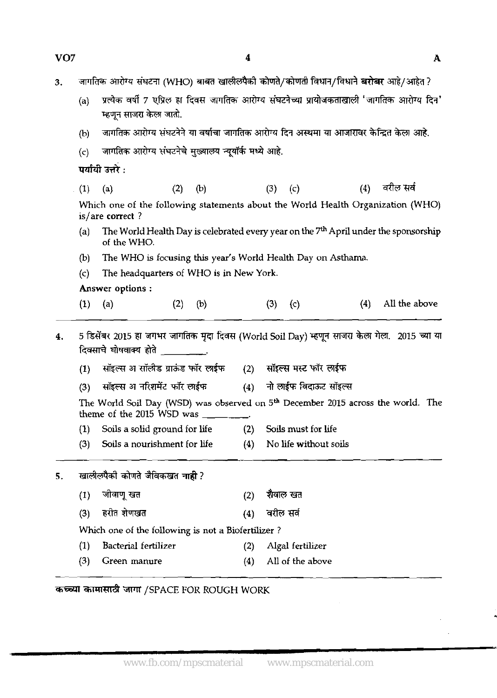| VO <sub>7</sub> |     |                                                                                                                                                                                                                                                                                                                                                                                                                                                                                                                                         |     | 4   |             |                           |     | $\mathbf{A}$  |
|-----------------|-----|-----------------------------------------------------------------------------------------------------------------------------------------------------------------------------------------------------------------------------------------------------------------------------------------------------------------------------------------------------------------------------------------------------------------------------------------------------------------------------------------------------------------------------------------|-----|-----|-------------|---------------------------|-----|---------------|
| 3.              |     | जागतिक आरोग्य संघटना (WHO) बाबत खालीलपैको कोणते/कोणती विधान/विधाने <b>बरोबर</b> आहे/आहेत ?                                                                                                                                                                                                                                                                                                                                                                                                                                              |     |     |             |                           |     |               |
|                 | (a) | प्रत्येक वर्षी 7 एप्रिल हा दिवस जागतिक आरोग्य संघटनेच्या प्रायोजकताखाली 'जागतिक आरोग्य दिन'<br>म्हणून साजरा केला जातो.                                                                                                                                                                                                                                                                                                                                                                                                                  |     |     |             |                           |     |               |
|                 | (b) | जागतिक आरोग्य संघटनेने या वर्षाचा जागतिक आरोग्य दिन अस्थमा या आजारावर केन्द्रित केला आहे.                                                                                                                                                                                                                                                                                                                                                                                                                                               |     |     |             |                           |     |               |
|                 | (c) | जागतिक आरोग्य संघटनेचे मुख्यालय न्यूयॉर्क मध्ये आहे.                                                                                                                                                                                                                                                                                                                                                                                                                                                                                    |     |     |             |                           |     |               |
|                 |     | पर्यायी उत्तरे :                                                                                                                                                                                                                                                                                                                                                                                                                                                                                                                        |     |     |             |                           |     |               |
|                 | (1) | (a)<br>(2)                                                                                                                                                                                                                                                                                                                                                                                                                                                                                                                              | (b) |     | (3)         | $\left( \infty \right)$   | (4) | वरील सर्व     |
|                 |     | Which one of the following statements about the World Health Organization (WHO)<br>is/are correct?                                                                                                                                                                                                                                                                                                                                                                                                                                      |     |     |             |                           |     |               |
|                 | (a) | The World Health Day is celebrated every year on the 7 <sup>th</sup> April under the sponsorship<br>of the WHO.                                                                                                                                                                                                                                                                                                                                                                                                                         |     |     |             |                           |     |               |
|                 | (b) | The WHO is focusing this year's World Health Day on Asthama.                                                                                                                                                                                                                                                                                                                                                                                                                                                                            |     |     |             |                           |     |               |
|                 | (c) | The headquarters of WHO is in New York.                                                                                                                                                                                                                                                                                                                                                                                                                                                                                                 |     |     |             |                           |     |               |
|                 |     | Answer options:                                                                                                                                                                                                                                                                                                                                                                                                                                                                                                                         |     |     |             |                           |     |               |
|                 |     |                                                                                                                                                                                                                                                                                                                                                                                                                                                                                                                                         |     |     |             |                           | (4) | All the above |
|                 | (1) | (a)<br>(2)                                                                                                                                                                                                                                                                                                                                                                                                                                                                                                                              | (b) |     | $(3)$ $(c)$ |                           |     |               |
| 4.              |     | 5 डिसेंबर 2015 हा जगभर जागतिक मृदा दिवस (World Soil Day) म्हणून साजरा केला गेला.  2015 च्या या<br>दिवसाचे घोषवाक्य होते _________.                                                                                                                                                                                                                                                                                                                                                                                                      |     |     |             |                           |     |               |
|                 | (1) | सॉइल्स अ सॉलीड ग्राऊंड फॉर लाईफ                                                                                                                                                                                                                                                                                                                                                                                                                                                                                                         |     |     |             | (2) सॉइल्स मस्ट फॉर लाईफ  |     |               |
|                 | (3) | सॉइल्स अ नरिशमेंट फॉर लाईफ<br>The World Soil Day (WSD) was observed on 5 <sup>th</sup> December 2015 across the world. The<br>theme of the 2015 WSD was $\frac{1}{\sqrt{1-\frac{1}{2}}}\frac{1}{\sqrt{1-\frac{1}{2}}}\frac{1}{\sqrt{1-\frac{1}{2}}}\frac{1}{\sqrt{1-\frac{1}{2}}}\frac{1}{\sqrt{1-\frac{1}{2}}}\frac{1}{\sqrt{1-\frac{1}{2}}}\frac{1}{\sqrt{1-\frac{1}{2}}}\frac{1}{\sqrt{1-\frac{1}{2}}}\frac{1}{\sqrt{1-\frac{1}{2}}}\frac{1}{\sqrt{1-\frac{1}{2}}}\frac{1}{\sqrt{1-\frac{1}{2}}}\frac{1}{\sqrt{1-\frac{1}{2}}}\frac$ |     |     |             | (4) नो लाईफ विदाऊट सॉइल्स |     |               |
|                 | (1) | Soils a solid ground for life (2) Soils must for life                                                                                                                                                                                                                                                                                                                                                                                                                                                                                   |     |     |             |                           |     |               |
|                 | (3) | Soils a nourishment for life                                                                                                                                                                                                                                                                                                                                                                                                                                                                                                            |     | (4) |             | No life without soils     |     |               |
| 5.              |     | खालीलपैकी कोणते जैविकखत नाही ?                                                                                                                                                                                                                                                                                                                                                                                                                                                                                                          |     |     |             |                           |     |               |
|                 | (1) | जीवाणू खत                                                                                                                                                                                                                                                                                                                                                                                                                                                                                                                               |     | (2) | शैवाल खत    |                           |     |               |
|                 | (3) | हरीत शेणखत                                                                                                                                                                                                                                                                                                                                                                                                                                                                                                                              |     | (4) | वरील सर्व   |                           |     |               |
|                 |     | Which one of the following is not a Biofertilizer?                                                                                                                                                                                                                                                                                                                                                                                                                                                                                      |     |     |             |                           |     |               |
|                 | (1) | Bacterial fertilizer                                                                                                                                                                                                                                                                                                                                                                                                                                                                                                                    |     | (2) |             | Algal fertilizer          |     |               |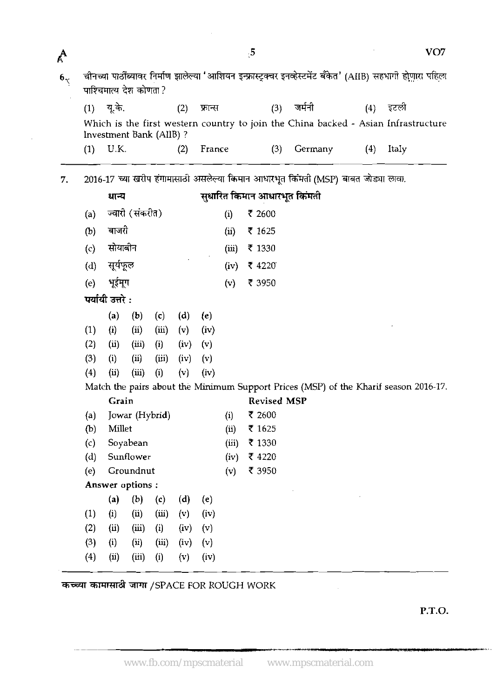| A        |     |                  |                         |       |      |         |           | $\mathfrak{g}$ |                    |                                                                                                              |     |       | VO7 |
|----------|-----|------------------|-------------------------|-------|------|---------|-----------|----------------|--------------------|--------------------------------------------------------------------------------------------------------------|-----|-------|-----|
| $6\zeta$ |     |                  | पाश्चिमात्य देश कोणता ? |       |      |         |           |                |                    | चीनच्या पाठींब्यावर निर्माण झालेल्या 'आशियन इन्फ्रास्ट्रक्चर इनव्हेस्टमेंट बँकेत' (AIIB) सहभागी होणारा पहिला |     |       |     |
|          |     | (1) यू.के.       |                         |       | (2)  | फ्रान्स |           |                | (3)                | जर्मनी                                                                                                       | (4) | इटली  |     |
|          |     |                  | Investment Bank (AIIB)? |       |      |         |           |                |                    | Which is the first western country to join the China backed - Asian Infrastructure                           |     |       |     |
|          | (1) | U.K.             |                         |       | (2)  | France  |           |                | (3)                | Germany                                                                                                      | (4) | Italy |     |
| 7.       |     |                  |                         |       |      |         |           |                |                    | 2016-17 च्या खरीप हंगामासाठी असलेल्या किमान आधारभूत किंमती (MSP) बाबत जोड्या लावा.                           |     |       |     |
|          |     | धान्य            |                         |       |      |         |           |                |                    | सुधारित किमान आधारभूत किंमती                                                                                 |     |       |     |
|          | (a) |                  | ज्वारी (संकरीत)         |       |      |         | (i)       | ₹ 2600         |                    |                                                                                                              |     |       |     |
|          | (b) | बाजरी            |                         |       |      |         | $\rm(ii)$ | ₹ 1625         |                    |                                                                                                              |     |       |     |
|          | (c) | सोयाबीन          |                         |       |      |         | (iii)     | ₹ 1330         |                    |                                                                                                              |     |       |     |
|          | (d) | सूर्यफूल         |                         |       |      |         | (iv)      | ₹ 4220         |                    |                                                                                                              |     |       |     |
|          | (e) | भूईमूग           |                         |       |      |         | (v)       | ₹ 3950         |                    |                                                                                                              |     |       |     |
|          |     | पर्यायी उत्तरे : |                         |       |      |         |           |                |                    |                                                                                                              |     |       |     |
|          |     | (a)              | (b)                     | (c)   | (d)  | (e)     |           |                |                    |                                                                                                              |     |       |     |
|          | (1) | (i)              | (ii)                    | (iii) | (v)  | (iv)    |           |                |                    |                                                                                                              |     |       |     |
|          | (2) | (ii)             | (iii)                   | (i)   | (iv) | (v)     |           |                |                    |                                                                                                              |     |       |     |
|          | (3) | (i)              | (ii)                    | (iii) | (iv) | (v)     |           |                |                    |                                                                                                              |     |       |     |
|          | (4) | (ii)             | (iii)                   | (i)   | (v)  | (iv)    |           |                |                    |                                                                                                              |     |       |     |
|          |     |                  |                         |       |      |         |           |                |                    | Match the pairs about the Minimum Support Prices (MSP) of the Kharif season 2016-17.                         |     |       |     |
|          |     | Grain            |                         |       |      |         |           |                | <b>Revised MSP</b> |                                                                                                              |     |       |     |
|          | (a) |                  | Jowar (Hybrid)          |       |      |         | (i)       | ₹ 2600         |                    |                                                                                                              |     |       |     |
|          | (b) | Millet           |                         |       |      |         | (i)       | ₹ 1625         |                    |                                                                                                              |     |       |     |
|          | (c) |                  | Soyabean                |       |      |         | (iii)     | ₹ 1330         |                    |                                                                                                              |     |       |     |
|          | (d) |                  | Sunflower               |       |      |         | (iv)      | ₹ 4220         |                    |                                                                                                              |     |       |     |
|          | (e) |                  | Groundnut               |       |      |         | (v)       | ₹ 3950         |                    |                                                                                                              |     |       |     |
|          |     |                  | Answer options:         |       |      |         |           |                |                    |                                                                                                              |     |       |     |
|          |     | (a)              | (b)                     | (c)   | (d)  | (e)     |           |                |                    |                                                                                                              |     |       |     |
|          | (1) | (i)              | (ii)                    | (iii) | (v)  | (iv)    |           |                |                    |                                                                                                              |     |       |     |
|          | (2) | (ii)             | (iii)                   | (i)   | (iv) | (v)     |           |                |                    |                                                                                                              |     |       |     |
|          | (3) | (i)              | (i)                     | (iii) | (iv) | (v)     |           |                |                    |                                                                                                              |     |       |     |
|          | (4) | (i)              | (iii)                   | (i)   | (v)  | (iv)    |           |                |                    |                                                                                                              |     |       |     |
|          |     |                  |                         |       |      |         |           |                |                    |                                                                                                              |     |       |     |

कच्च्या कामासाठी जागा /SPACE FOR ROUGH WORK

 $\mathcal{L}_{\mathbf{r}}$ 

**P.T.O.** 

 $\hat{\mathcal{L}}$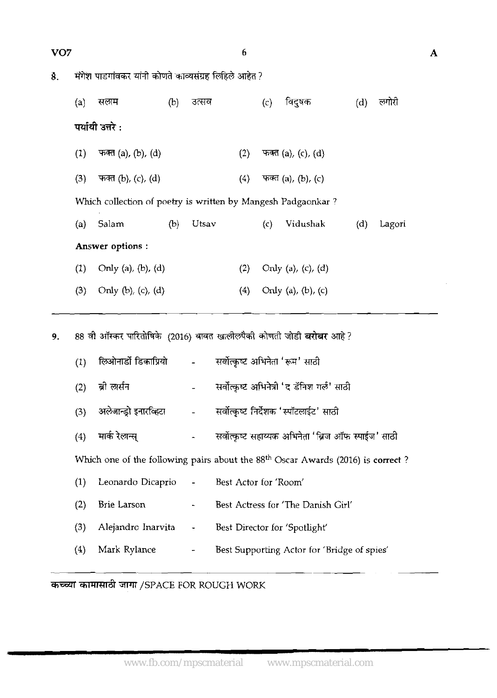$\boldsymbol{6}$ 

| 8. | मंगेश पाडगांवकर यांनी कोणते काव्यसंग्रह लिहिले आहेत ?       |                                                                             |     |       |     |     |                    |     |        |
|----|-------------------------------------------------------------|-----------------------------------------------------------------------------|-----|-------|-----|-----|--------------------|-----|--------|
|    | विदुषक<br>लगोरी<br>(a)<br>सलम<br>(b)<br>उत्सव<br>(c)<br>(d) |                                                                             |     |       |     |     |                    |     |        |
|    |                                                             | पर्यायी उत्तरे :                                                            |     |       |     |     |                    |     |        |
|    | (1)                                                         | फक्त (a), (b), (d)                                                          |     |       | (2) |     | फक्त (a), (c), (d) |     |        |
|    | (3)                                                         | फक्त (b), (c), (d)                                                          |     |       | (4) |     | फक्त (a), (b), (c) |     |        |
|    |                                                             | Which collection of poetry is written by Mangesh Padgaonkar?                |     |       |     |     |                    |     |        |
|    | (a)                                                         | Salam                                                                       | (b) | Utsav |     | (c) | Vidushak           | (d) | Lagori |
|    |                                                             | Answer options :                                                            |     |       |     |     |                    |     |        |
|    | (1)                                                         | Only $(a)$ , $(b)$ , $(d)$                                                  |     |       | (2) |     | Only (a), (c), (d) |     |        |
|    | (3)                                                         | Only $(b)$ , $(c)$ , $(d)$                                                  |     |       | (4) |     | Only (a), (b), (c) |     |        |
| 9. |                                                             | 88 वी ऑस्कर पारितोषिके  (2016) बाबत खालीलपैको कोणती जोडी <b>बरोबर</b> आहे ? |     |       |     |     |                    |     |        |

|     |                |                          | 88 वी ऑस्कर पारितोषिके (2016) बाबत खालीलपैकी कोणती जोडी बरोबर आहे?                |
|-----|----------------|--------------------------|-----------------------------------------------------------------------------------|
| (1) |                |                          | सर्वोत्कृष्ट अभिनेता 'रूम' साठी                                                   |
| (2) | ब्री लार्सन    |                          | सर्वोत्कृष्ट अभिनेत्री 'द डॅनिश गर्ल' साठी                                        |
| (3) |                |                          | अलेजान्ड्रो इनारव्हिटा                     सर्वोत्कृष्ट निर्देशक 'स्पॉटलाईट' साठी |
| (4) | मार्क रेलान्स् |                          | सर्वोत्कृष्ट सहाय्यक अभिनेता 'ब्रिज ऑफ स्पाईज' साठी                               |
|     |                |                          | Which one of the following pairs about the $88th$ Oscar Awards (2016) is correct? |
| (1) |                |                          | Leonardo Dicaprio - Best Actor for 'Room'                                         |
| (2) | Brie Larson    | $\overline{\phantom{a}}$ | Best Actress for 'The Danish Girl'                                                |
| (3) |                |                          | Alejandro Inarvita - Best Director for 'Spotlight'                                |
| (4) | Mark Rylance   | $\blacksquare$           | Best Supporting Actor for 'Bridge of spies'                                       |

?kZ=T **d** 3TT /SPACE FOR ROUGH WORK

 $\overline{\mathbf{A}}$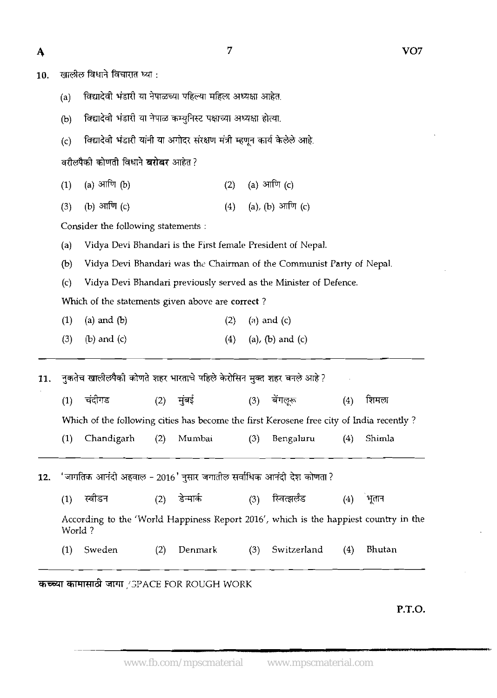$\overline{7}$ 

| ٠      |  |
|--------|--|
| v<br>v |  |
| I      |  |

10. **खालील विधाने विचारात घ्या**:

(a) विद्यादेवी भंडारी या नेपाळच्या पहिल्या महिला अध्यक्षा आहेत.

(b) विद्यादेवी भंडारी या नेपाळ कम्युनिस्ट पक्षाच्या अध्यक्षा होत्या.

विद्यादेवी भंडारी यांनी या अगोदर संरक्षण मंत्री म्हणून कार्य केलेले आहे.  $(c)$ 

- ) वरीलपैको कोणती विधाने **बरोबर** आहेत ?<br>(1) (a) आणि (b) (2) (a) आणि (c)<br>(3) (b) आणि (c) (4) (a), (b) आणि (c)
- (1) (a) आणि (b) (2) (a) आणि (c)<br>(3) (b) आणि (c) (4) (a), (b) आणि (c)

Consider the following statements :

(a) Vidya Devi Bhandari is the First female President of Nepal.

(b) Vidya Devi Bhandari was the Chairman of the Communist Party of Nepal.

(c) Vidya Devi Bhandari previously served as the Minister of Defence.

Which of the statements given above are correct ?

- (1) (a) and @) (2) **(a)** and (4
- (3) (b) and (c) (4) (a), (b) and (c)

11. नुकतेच खालीलपैकी कोणते शहर भारताचे पहिले केरोसिन मुक्त शह (1) \* *(2)* **T+** (3) +EF (4) fms

Which of the following cities has become the first Kerosene free city of India recently ?

(1) Chandigarh (2) Mumbai (3) Bengaluru (4) Shimla

'जागतिक आनंदी अहवाल - 2016' नुसार जगातील सर्वाधिक आनंदी देश कोणता ? 12.

 $(1)$ स्वीडन डेन्मार्क स्विद्धर्लंड  $(2)$  $(3)$  $(4)$ भूतान

According to the 'World Happiness Report 2016', which is the happiest country in the WorId ?

(1) Sweden (2) Denmark (3) Switzerland (4) Bhutan

कच्च्या कामासाठी जागा /SPACE FOR ROUGH WORK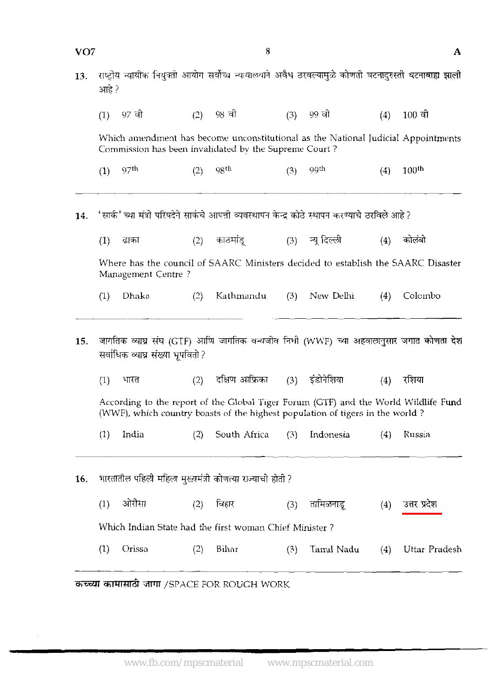| VO7 |       |                                   |     | 8                                                                                                                                                                    |     |                 |     | A                 |
|-----|-------|-----------------------------------|-----|----------------------------------------------------------------------------------------------------------------------------------------------------------------------|-----|-----------------|-----|-------------------|
| 13. | आहे ? |                                   |     | राष्ट्रीय न्यायीक नियुक्ती आयोग सर्वोच्च न्यायालयाने अवैध ठरवल्यामुळे कोणती घटनादुरुस्ती घटनाबाह्य झाली                                                              |     |                 |     |                   |
|     | (1)   | 97 वो                             | (2) | 98 वी                                                                                                                                                                | (3) | 99 वी           | (4) | $100$ वी          |
|     |       |                                   |     | Which amendment has become unconstitutional as the National Judicial Appointments<br>Commission has been invalidated by the Supreme Court?                           |     |                 |     |                   |
|     | (1)   | 97 <sup>th</sup>                  | (2) | 98 <sup>th</sup>                                                                                                                                                     | (3) | .99th           | (4) | 100 <sup>th</sup> |
| 14. |       |                                   |     | 'सार्क' च्या मंत्री परिषदेने सार्कचे आपत्ती व्यवस्थापन केन्द्र कोठे स्थापन करण्याचे ठरविले आहे ?                                                                     |     |                 |     |                   |
|     | (1)   | ढाका                              | (2) | काठमांड्                                                                                                                                                             |     | (3) न्यू दिल्ली | (4) | कोलंबो            |
|     |       | Management Centre?                |     | Where has the council of SAARC Ministers decided to establish the SAARC Disaster                                                                                     |     |                 |     |                   |
|     | (1)   | Dhaka                             | (2) | Kathmandu                                                                                                                                                            | (3) | New Delhi       | (4) | Colombo           |
| 15. |       | सर्वाधिक व्याघ्र संख्या भूपवितो ? |     | जागतिक व्याघ्र संघ (GTF) आणि जागतिक वन्यजीव निधी (WWF) च्या अहवालानुसार जगात कोणता देश                                                                               |     |                 |     |                   |
|     | (1)   | भारत                              | (2) | दक्षिण आफ्रिका                                                                                                                                                       | (3) | इंडोनेशिया      | (4) | रशिया             |
|     |       |                                   |     | According to the report of the Global Tiger Forum (GTF) and the World Wildlife Fund<br>(WWF), which country boasts of the highest population of tigers in the world? |     |                 |     |                   |
|     | (1)   | India                             | (2) | South Africa                                                                                                                                                         | (3) | Indonesia       | (4) | Russia            |
| 16. |       |                                   |     | भारतातील पहिली महिला मुख्यमंत्री कोणत्या राज्याची होती ?                                                                                                             |     |                 |     |                   |
|     | (1)   | ओरीसा                             | (2) | बिहार                                                                                                                                                                | (3) | तामिळनाडू       | (4) | उत्तर प्रदेश      |
|     |       |                                   |     | Which Indian State had the first woman Chief Minister?                                                                                                               |     |                 |     |                   |
|     | (1)   | Orissa                            | (2) | Bihar                                                                                                                                                                | (3) | Tamil Nadu      | (4) | Uttar Pradesh     |
|     |       |                                   |     |                                                                                                                                                                      |     |                 |     |                   |

कच्च्या कामासाठी जागा /SPACE FOR ROUGH WORK

 $\hat{\boldsymbol{\gamma}}$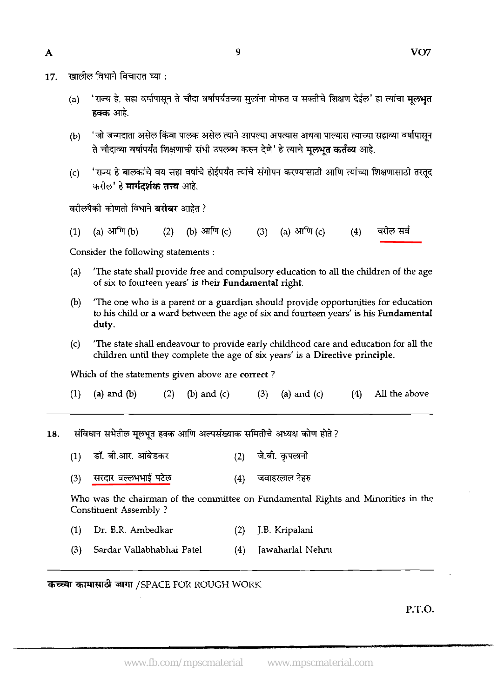खालील विधाने विचारात घ्या : 17.

(a) 'राज्य हे, सहा वर्षापासून ते चौदा वर्षापर्यंतच्या मुलांना मोफत व सक्तीचे शिक्षण देईल' हा त्यांचा **मूलभूत**<br>ह्र**क्क** आहे.

9

- 'जो जन्मदाता असेल किंवा पालक असेल त्याने आपल्या अपत्यास अथवा पाल्यास त्याच्या सहाव्या वर्षापासून  $(b)$ ते चौदाव्या वर्षापर्यंत शिक्षणाची संधी उपलब्ध करुन देणे' हे त्याचे **मुलभूत कर्तव्य** आहे.
- 'राज्य हे बालकांचे वय सहा वर्षाचे होईपर्यंत त्यांचे संगोपन करण्यासाठी आणि त्यांच्या शिक्षणासाठी तरतुद  $(c)$ करील' हे **मार्गदर्शक तत्त्व** आहे.

वरीलपैकी कोणती विधाने **बरोबर** आहेत ?

वरील सर्व (a) आणि  $(b)$ (b) आणि (c) (3) (a) आणि (c)  $(4)$  $(1)$  $(2)$ 

Consider the following statements :

- (a) 'The state shall provide free and compulsory education to all the children of the age of six to fourteen years' is their Fundamental right.
- @) 'The one who is a parent or a guardian should provide opportunities for education to his child or a ward between the age of six and fourteen years' is his Fundamental duty.
- (c) 'The state shall endeavour to provide early childhood care and education for all the children **until** they complete the age of six years' is a Directive principle.

Which of the statements given above are correct ?

- (1) (a) and (b) (2) (b) and (c) (3) (a) and (c) (4) All the above
- संविधान सभेतील मूलभूत हक्क आणि अल्पसंख्याक समितीचे अध्यक्ष कोण होते ? 18.
	- डॉ. बी.आर. आंबेडकर जे.बी. कुपलानी  $(1)$  $(2)$
	- जवाहरलाल नेहरु सरदार वल्लभभाई पटेल  $(4)$  $(3)$

Who was the chairman of the committee on Fundamental Rights and Minorities in the Constituent Assembly ?

- (1) Dr. B.R. Ambedkar (2) J.B. Kripalani
- (3) Sardar Vallabhabhai Pate1 (4) Jawaharlal Nehru

कच्च्या कामासाठी जागा /SPACE FOR ROUGH WORK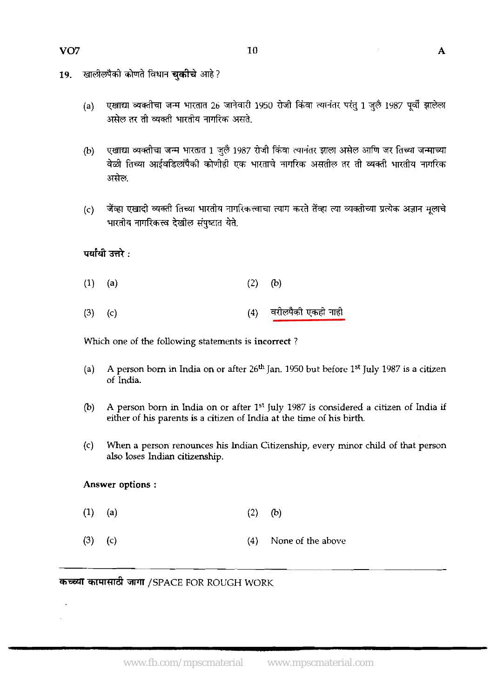- खालीलपैको कोणते विधान **चकीचे** आहे? 19.
	- एखाद्या व्यक्तीचा जन्म भारतात 26 जानेवारी 1950 रोजी किंवा त्यानंतर परंतु 1 जुलै 1987 पूर्वी झालेला  $(a)$ असेल तर ती व्यक्ती भारतीय नागरिक असते.
	- एखाद्या व्यक्तीचा जन्म भारतात 1 जुलै 1987 रोजी किंवा त्यानंतर झाला असेल आणि जर तिच्या जन्माच्या  $(b)$ वेळी तिच्या आईवडिलांपैको कोणीही एक भारताचे नागरिक असतील तर ती व्यक्ती भारतीय नागरिक असेल.
	- जेंव्हा एखादी व्यक्ती तिच्या भारतीय नागरिकत्त्वाचा त्याग करते तेंव्हा त्या व्यक्तीच्या प्रत्येक अज्ञान मुलाचे  $(c)$ भारतीय नागरिकत्त्व देखील संपुष्टात येते.

# पर्यायी उत्तरे :

- $(1)$  $(a)$  $(2)$  $(b)$
- वरीलपैकी एकही नाही  $(3)$  $(4)$  $(c)$

Which one of the following statements is incorrect ?

- (a) A person born in India on or after 26<sup>th</sup> Jan. 1950 but before 1<sup>st</sup> July 1987 is a citizen of India.
- (b) A person born in India on or after 1<sup>st</sup> *July 1987* is considered a citizen of India if either of **his** parents is a citizen of India at the time of his birth.
- (c) When a person renounces his Indian Citizenship, every minor child of that person also loses Indian citizenship.

### Answer options :

- $(1)$  $(a)$  $(2)$  $(b)$
- **(3) (c) (a)** None of the above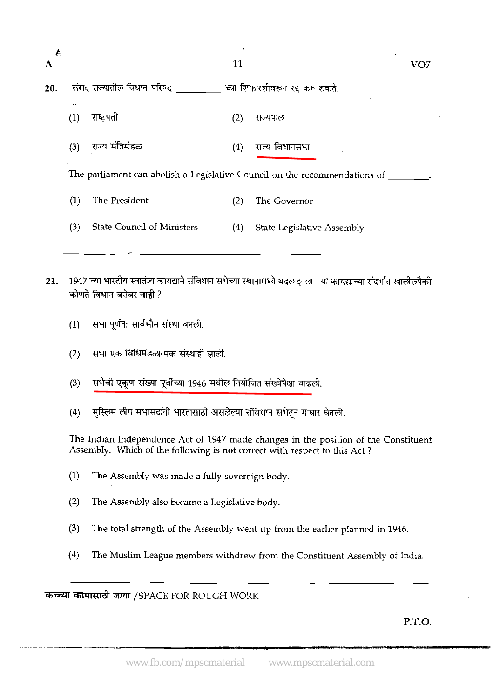| $\mathcal{F}$<br>A |            |                                                                            | 11  | VO7                                                                                                             |
|--------------------|------------|----------------------------------------------------------------------------|-----|-----------------------------------------------------------------------------------------------------------------|
| 20.                |            | संसद राज्यातील विधान परिषद ________ च्या शिफारशीवरून रद करु शकते.          |     |                                                                                                                 |
|                    | 72.<br>(1) | राष्ट्रपती                                                                 | (2) | राज्यपाल                                                                                                        |
|                    | (3)        | राज्य मंत्रिमंडळ                                                           | (4) | राज्य विधानसभा                                                                                                  |
|                    |            | The parliament can abolish a Legislative Council on the recommendations of |     |                                                                                                                 |
|                    | (1)        | The President                                                              | (2) | The Governor                                                                                                    |
|                    | (3)        | <b>State Council of Ministers</b>                                          | (4) | <b>State Legislative Assembly</b>                                                                               |
| 21.                | (1)        | कोणते विधान बरोबर नाही ?<br>सभा पूर्णत: सार्वभौम संस्था बनली.              |     | 1947 च्या भारतीय स्वातंत्र्य कायद्याने संविधान सभेच्या स्थानामध्ये बदल झाला.  या कायद्याच्या संदर्भात खालीलपैकी |
|                    | (2)        | सभा एक विधिमंडळात्मक संस्थाही झाली.                                        |     |                                                                                                                 |
|                    | (3)        | सभेची एकूण संख्या पूर्वीच्या 1946 मधील नियोजित संख्येपेक्षा वाढली.         |     |                                                                                                                 |
|                    | (4)        | मुस्लिम लीग सभासदांनी भारतासाठी असलेल्या संविधान सभेतून माघार घेतली.       |     |                                                                                                                 |
|                    |            | Assembly. Which of the following is not correct with respect to this Act?  |     | The Indian Independence Act of 1947 made changes in the position of the Constituent                             |
|                    | (1)        | The Assembly was made a fully sovereign body.                              |     |                                                                                                                 |
|                    | (2)        | The Assembly also became a Legislative body.                               |     |                                                                                                                 |

- (3) The total strength of the Assembly went up from the earlier planned in 1946.
- (4) The Muslim League members withdrew from the Constituent Assembly of India. -

*अच्या कामासाठी जागा /SPACE FOR ROUGH WORK*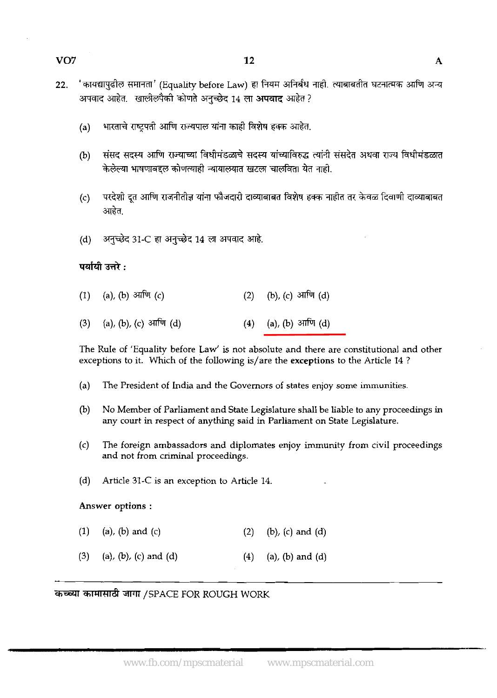- 22. 'कायद्यापुढील समानता' (Equality before Law) हा नियम अनिर्बंध नाही. त्याबाबतीत घटनात्मक आणि अन्य अपवाद आहेत. खालीलपैकी कोणते अनुच्छेद 14 ला **अपवाद** आहेत ?
	- (a) भारताचे राष्ट्रपती आणि राज्यपाल यांना काही विशेष हक्क आहेत.
	- संसद सदस्य आणि राज्याच्या विधीमंडळाचे सदस्य यांच्याविरुद्ध त्यांनी संसदेत अथवा राज्य विधीमंडळात  $(b)$ केलेल्या भाषणाबद्दल कोणत्याही न्यायालयात खटला चालविता येत नाही.
	- परदेशी दत आणि राजनीतीज्ञ यांना फौजदारी दाव्याबाबत विशेष हक्क नाहीत तर केवळ दिवाणी दाव्याबाबत  $(c)$ आहेत.
	- (d) अनुच्छेद 31-C हा अनुच्छेद 14 ला अपवाद आहे.

#### पर्यायी उत्तरे :

- (a), (b) आणि (c)  $(2)$ (b), (c) आणि (d)  $(1)$
- (a), (b) आणि (d)  $(3)$ (a), (b), (c) आणि (d)  $(4)$

The Rule of 'Equality before Law' is not absolute and there are constitutional and other exceptions to it. Which of the following is/are the exceptions to the Article 14 ?

- (a) The President of India and the Governors of states enjoy some immunities.
- (b) No Member of Parliament and State Legislature shall be liable to any proceedings in any court in respect of anything said in Parliament on State Legislature.
- (c) The foreign ambassadors and diplomates enjoy immunity from civil proceedings and not from criminal proceedings.
- (d) Article 31-C is an exception to Article 14.

#### Answer options :

- $(1)$  $(a)$ ,  $(b)$  and  $(c)$  $(2)$  $(b)$ ,  $(c)$  and  $(d)$
- & 3PlT /SPACE FOR ROUGH WORK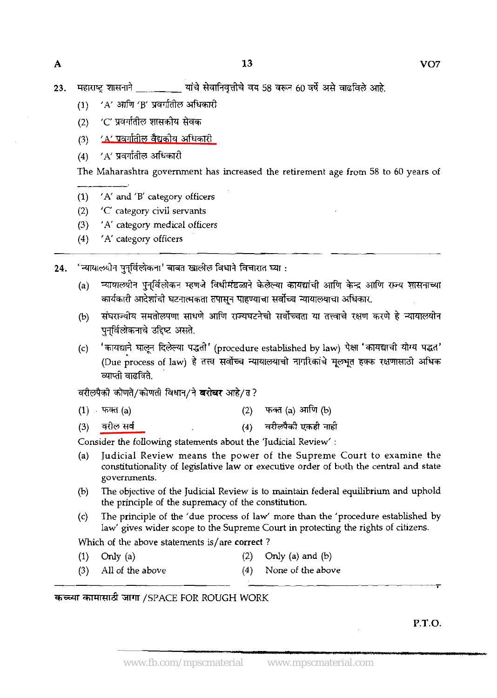**23. m?'lWd** ~~b~58~60~d~&.

- (1) 'A' आणि 'B' प्रवर्गातील अधिकारी
- (2) *'C'* प्रवर्गातील शासकोय सेवक
- (3) <u>'A' प्रवर्गातील वैद्यक</u>ीय अधिकारी
- $(4)$   $'A'$  प्रवर्गातील अधिकारी

The Maharashtra government has increased the retirement age from 58 to 60 years of

- (1) 'A' and 'B' category officers
- (2) 'C' category civil servants
- (3) 'A' category medical officers
- (4) 'A' category officers

'न्यायालयीन पुनुर्विलोकना' बाबत खालील विधाने विचारात घ्या :  $24.$ 

- (a) न्यायालयीन पुनर्विलोकन म्हणजे विधीमंडळाने केलेल्या कायद्यांची आणि केन्द्र आणि राज्य शासनाच्या कार्यकारी आदेशांची घटनात्मकता तपासून पाहण्याचा सर्वोच्च न्यायालयाचा अधिकार.
- (b) संघराज्यीय समतोल्रपणा साधणे आणि राज्यघटनेची सर्वोच्चता या तत्त्वाचे रक्षण करणे हे न्यायालयीन पनर्विलोकनाचे उद्दिष्ट असते.
- नगनगत जादरात्या नटगतनगत तमालून नाइग्यास लगनाइय नामाहनाचा जावनगत.<br>(b) संघराज्यीय समतोलपणा साधणे आणि राज्यघटनेची सर्वोच्चता या तत्त्वाचे रक्षण करणे हे न्यायालयीन<br>(c) 'कायद्याने घालून दिलेल्या पद्धती' (procedure establ 'कायद्याने घालून दिलेल्या पद्धती' (procedure established by law) पेक्षा 'कायद्याची योग्य पद्धत'<br>(Due process of law) हे तत्त्व सर्वोच्च न्यायालयाची नागरिकांचे मूलभूत हक्क रक्षणासाठी अधिक व्याप्ती वादविते.

वरीलपैको कोणते/कोणती विधान/ने **बरोबर** आहे/त?

- फक्त (a) आणि (b)  $(1)$  फक्त  $(a)$  $(2)$
- वरीलपैकी एकही नाही वरील सर्व  $(4)$  $(3)$

Consider the following statements about the 'Judicial Review' :

- (a) Judicial Review means the power of the Supreme Court to examine the constitutionality of legislative law or executive order of both the central and state governments.
- (b) The objective of the Judicial Review is to maintain federal equilibrium and uphold the principle of the supremacy of the constitution.
- (c) The principle of the 'due process of law' more than the 'procedure established by law' gives wider scope to the Supreme Court in protecting the rights of citizens.

Which of the above statements is/are correct ?

- (1) Only (a)  $(2)$  Only (a) and (b)
- (3) All of the above (4) None of the above

# Whic $\frac{1}{2}$ <br>(1)<br> $\frac{3}{2}$ <br>कच्च्या कामा **<sup>W</sup>**& **ZWTr** /SPACE FOR ROUGH WORK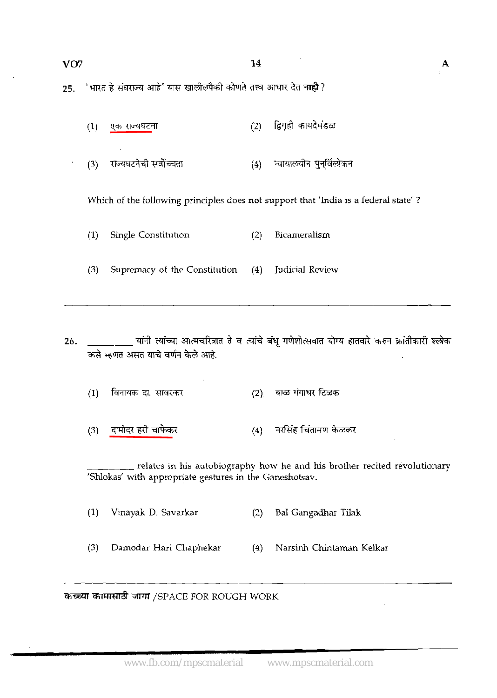A

 $25.$ 

|                  |                                                                          | 14  |                         |
|------------------|--------------------------------------------------------------------------|-----|-------------------------|
|                  | 'भारत हे संघराज्य आहे' यास खालीलपैकी कोणते तत्त्व आधार देत <b>नाही</b> ? |     |                         |
| $\left(1\right)$ | <u>एक राज्यघट</u> ना                                                     | (2) | द्विगृही कायदेमंडळ      |
| (3)              | राज्यघटनेची सर्वोच्चता                                                   | (4) | ऱ्यायालयीन पुनुर्विलोकन |
|                  |                                                                          |     |                         |

Which of the following principles does not support that 'India is a federal state' ?

(I) Single Constitution (2) Bicameralism

**(3)** Supremacy of the Constilution (4) Judicial Review

<u>्</u>यांनी त्यांच्या आत्मचरित्रात ते व त्यांचे बंधु गणेशोत्सवात योग्य हातवारे करुन क्रांतीकारी श्लोक 26. कसे म्हणत असत याचे वर्णन केले आहे.

- $(2)$  बाळ गंगाधर टिळक विनायक दा. सावरकर  $(1)$
- (4) नरसिंह चिंतामण केळकर दामोदर हरी चाफेकर  $(3)$

relates in his autobiography how he and his brother recited revolutionary 'Shlokas' with appropriate gestures in the Ganeshotsav.

(1) Vinayak D. Savarkar (2) BaI Gangadhar Tilak

**(3)** Damodor Hari Chaphekar (4) Narsinh Chintaman Kelkar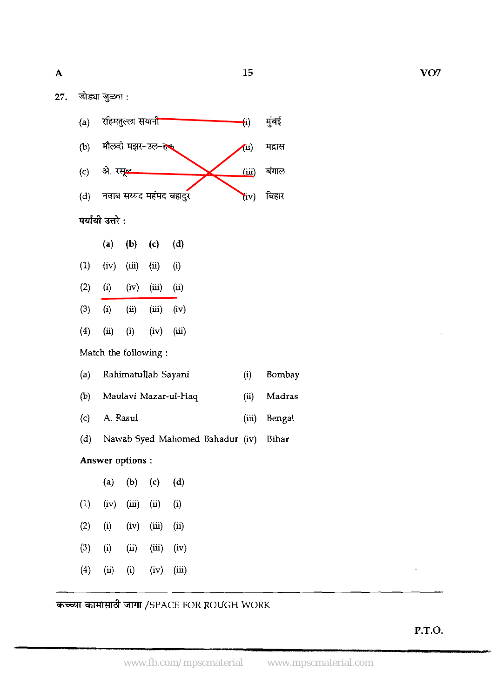15

27. जोड्या जुळवा :

**A** 





|     |      |                       | (a) (b) (c) (d)       |      |
|-----|------|-----------------------|-----------------------|------|
| (1) |      | $(iv)$ $(iii)$ $(ii)$ |                       | (i)  |
| (2) |      |                       | $(i)$ $(iv)$ $(iii)$  | (ii) |
| (3) | (i)  |                       | $(ii)$ $(iii)$ $(iv)$ |      |
| (4) | (ii) |                       | $(i)$ $(iv)$ $(iii)$  |      |
|     |      |                       | Match the following:  |      |

| (a) Rahimatullah Sayani | $(i)$ Bombay |
|-------------------------|--------------|
|                         |              |

- @) Maulavi Mazar-ul-Haq (ii) Madras
- (c) A. Rasul (iii) Bengal
- (d) Nawab Syed Mahomed Bahadur (iv) Bihar

# Answer options :

|     |                            | (a) (b) (c)           |                       | (d) |
|-----|----------------------------|-----------------------|-----------------------|-----|
|     | $(1)$ $(iv)$               | $(iii)$ $(ii)$        |                       | (i) |
| (2) | (i)                        | $(iv)$ $(iii)$ $(ii)$ |                       |     |
| (3) | (i)                        |                       | $(ii)$ $(iii)$ $(iv)$ |     |
| (4) | $\left(\mathbf{u}\right)$  |                       | $(i)$ $(iv)$ $(iii)$  |     |
|     | the company of the company |                       |                       |     |

# कामासाठी जागा /SPACE FOR ROUGH WORK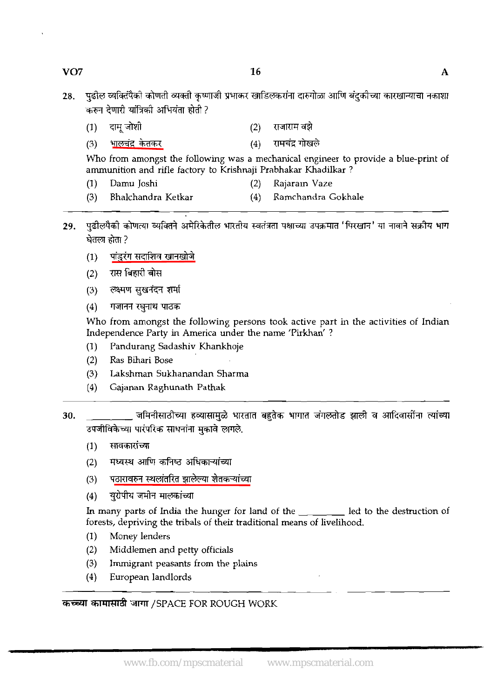### $VO7$

- पढील व्यक्तिपैको कोणती व्यक्ती कृष्णाजी प्रभाकर खाडिलकरांना दारुगोळा आणि बंदकोच्या कारखान्याचा नकाशा 28. करुन देणारी यांत्रिकी अभियंता होती ?
	- दाम् जोशी  $(2)$ राजाराम वझे  $(1)$
	- रामचंद्र गोखले <u>भालचंद्र</u> केतकर  $(4)$  $(3)$

Who from amongst the following was a mechanical engineer to provide a blue-print of ammunition and rifle factory to Krishnaji Prahhakar Khadilkar ?

- (1) Damu Joshi (2) Rajaram Vaze
- (3) Bhalchandra Ketkar (4) Ramchandra Gokhale
- पुढीलपैकी कोणत्या व्यक्तिने अमेरिकेतील भारतीय स्वतंत्रता पक्षाच्या उपक्रमात 'पिरखान' या नावाने सक्रीय भाग<br>घेतला होता ?<br>(1) पांडुरंग सदाशिव खानखोजे<br>(2) रास बिहारी बोस 29.
	-
	- रास बिहारी बोस
	- (3) लक्ष्मण सुखनंदन शर्मा
	-

(1) - पांडुरंग सर्दाशिव खानखोजे<br>(2) - रास बिहारी बोस<br>(3) - लक्ष्मण सुखनंदन शर्मा<br>(4) - गजानन रघुनाथ पाठक<br>Who from amongst the following persons took active part in the activities of Indian Independence Party in America under the name 'Firkhan' ?

- (1) Pandurang Sadashiv Khankhoje
- (2) Ras Bihari Bose
- (3) Lakshman Sukhanandan Sharma
- (4) Gajanan Raghunath Pathak
- जमिनीसाठीच्या हव्यासामुळे भारतात बहुतेक भागात जंगलतोड झाली व आदिवासींना त्यांच्या 30. उपजीविकेच्या पारंपरिक साधनांना मुकावे लागले.
	-
	-
	-
	-

(1) सावकाराच्या<br>(2) मध्यस्थ आणि कनिष्ठ अधिकाऱ्यांच्या<br>(3) पठारावरुन स्थलांतरित झालेल्या शेतकऱ्यांच्या<br>(4) युरोपीय जमीन मालकांच्या<br>In many parts of India the hunger for land of the \_\_\_\_\_\_\_\_\_ led to the destruc forests, depriving the trihals of their traditional means of livelihood.

- (1) Money lenders
- (2) Middlemen and petty officials
- (3) Immigrant peasants from the plains
- (4) European landlords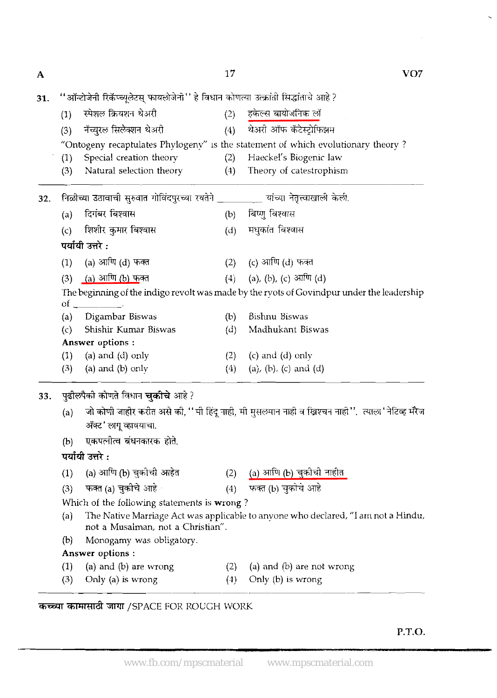$\overline{\mathbf{A}}$ 

17

 $VO7$ 

l,

 $\mathbb{Z}$ 

| 31. |     | ''ऑन्टोजेनी रिकॅप्च्यूलेटस् फायलोजेनी'' हे विधान कोणत्या उत्क्रांती सिद्धांताचे आहे ?                                                                                                                                                                                                                                                                                                                                                                                           |     |                                                                                                          |  |  |  |  |  |  |
|-----|-----|---------------------------------------------------------------------------------------------------------------------------------------------------------------------------------------------------------------------------------------------------------------------------------------------------------------------------------------------------------------------------------------------------------------------------------------------------------------------------------|-----|----------------------------------------------------------------------------------------------------------|--|--|--|--|--|--|
|     | (1) | स्पेशल क्रियशन थेअरी                                                                                                                                                                                                                                                                                                                                                                                                                                                            | (2) | हकेल्स बायोजनिक लॉ                                                                                       |  |  |  |  |  |  |
|     | (3) | नॅच्युरल सिलेक्शन थेअरी                                                                                                                                                                                                                                                                                                                                                                                                                                                         | (4) | थेअरी ऑफ कॅटेस्ट्रोफिझम                                                                                  |  |  |  |  |  |  |
|     |     |                                                                                                                                                                                                                                                                                                                                                                                                                                                                                 |     | "Ontogeny recaptulates Phylogeny" is the statement of which evolutionary theory?                         |  |  |  |  |  |  |
|     | (1) | Special creation theory                                                                                                                                                                                                                                                                                                                                                                                                                                                         | (2) | Haeckel's Biogenic law                                                                                   |  |  |  |  |  |  |
|     | (3) | Natural selection theory                                                                                                                                                                                                                                                                                                                                                                                                                                                        | (4) | Theory of catestrophism                                                                                  |  |  |  |  |  |  |
| 32. |     | निळीच्या उठावाची सुरुवात गोविंदपुरच्या रयतेने _________ यांच्या नेतृत्त्वाखाली केली.                                                                                                                                                                                                                                                                                                                                                                                            |     |                                                                                                          |  |  |  |  |  |  |
|     | (a) | दिगंबर बिश्वास                                                                                                                                                                                                                                                                                                                                                                                                                                                                  | (b) | बिष्णु बिश्वास                                                                                           |  |  |  |  |  |  |
|     | (c) | शिशीर कुमार बिश्वास                                                                                                                                                                                                                                                                                                                                                                                                                                                             | (d) | मधुकांत बिश्वास                                                                                          |  |  |  |  |  |  |
|     |     | पर्यायी उत्तरे :                                                                                                                                                                                                                                                                                                                                                                                                                                                                |     |                                                                                                          |  |  |  |  |  |  |
|     | (1) | (a) आणि (d) फक्त                                                                                                                                                                                                                                                                                                                                                                                                                                                                |     | (2) $(c)$ आणि (d) फक्त                                                                                   |  |  |  |  |  |  |
|     | (3) | <u>(a) आणि (b) फ</u> क्त                                                                                                                                                                                                                                                                                                                                                                                                                                                        | (4) | (a), (b), (c) आणि (d)                                                                                    |  |  |  |  |  |  |
|     | οf  | $\overline{\phantom{a}}$ $\overline{\phantom{a}}$ $\overline{\phantom{a}}$ $\overline{\phantom{a}}$ $\overline{\phantom{a}}$ $\overline{\phantom{a}}$ $\overline{\phantom{a}}$ $\overline{\phantom{a}}$ $\overline{\phantom{a}}$ $\overline{\phantom{a}}$ $\overline{\phantom{a}}$ $\overline{\phantom{a}}$ $\overline{\phantom{a}}$ $\overline{\phantom{a}}$ $\overline{\phantom{a}}$ $\overline{\phantom{a}}$ $\overline{\phantom{a}}$ $\overline{\phantom{a}}$ $\overline{\$ |     | The beginning of the indigo revolt was made by the ryots of Govindpur under the leadership               |  |  |  |  |  |  |
|     | (a) | Digambar Biswas                                                                                                                                                                                                                                                                                                                                                                                                                                                                 | (b) | Bishnu Biswas                                                                                            |  |  |  |  |  |  |
|     | (c) | Shishir Kumar Biswas                                                                                                                                                                                                                                                                                                                                                                                                                                                            | (d) | Madhukant Biswas                                                                                         |  |  |  |  |  |  |
|     |     | Answer options :                                                                                                                                                                                                                                                                                                                                                                                                                                                                |     |                                                                                                          |  |  |  |  |  |  |
|     | (1) | (a) and $(d)$ only                                                                                                                                                                                                                                                                                                                                                                                                                                                              | (2) | $(c)$ and $(d)$ only                                                                                     |  |  |  |  |  |  |
|     | (3) | (a) and $(b)$ only                                                                                                                                                                                                                                                                                                                                                                                                                                                              | (4) | (a), (b), (c) and (d)                                                                                    |  |  |  |  |  |  |
| 33. |     | पुढीलपैको कोणते विधान <b>चुकीचे</b> आहे ?                                                                                                                                                                                                                                                                                                                                                                                                                                       |     |                                                                                                          |  |  |  |  |  |  |
|     | (a) | ॲक्ट' लागू व्हावयाचा.                                                                                                                                                                                                                                                                                                                                                                                                                                                           |     | जो कोणी जाहीर करीत असे की, '' मी हिंदू नाही, मी मुसलमान नाही व ख्रिश्चन नाही ''.  त्याला ' नेटिव्ह मॅरेज |  |  |  |  |  |  |
|     | (b) | एकपत्नीत्व बंधनकारक होते.                                                                                                                                                                                                                                                                                                                                                                                                                                                       |     |                                                                                                          |  |  |  |  |  |  |
|     |     | पर्यायी उत्तरे :                                                                                                                                                                                                                                                                                                                                                                                                                                                                |     |                                                                                                          |  |  |  |  |  |  |
|     | (1) | (a) आणि (b) चुकीची आहेत                                                                                                                                                                                                                                                                                                                                                                                                                                                         | (2) | (a) आणि (b) चुकोची नाहीत                                                                                 |  |  |  |  |  |  |
|     | (3) | फक्त (a) चुकीचे आहे ।                                                                                                                                                                                                                                                                                                                                                                                                                                                           | (4) | फक्त (b) चुकोचे आहे                                                                                      |  |  |  |  |  |  |
|     |     | Which of the following statements is wrong?                                                                                                                                                                                                                                                                                                                                                                                                                                     |     |                                                                                                          |  |  |  |  |  |  |
|     | (a) | not a Musalman, not a Christian".                                                                                                                                                                                                                                                                                                                                                                                                                                               |     | The Native Marriage Act was applicable to anyone who declared, "I am not a Hindu,                        |  |  |  |  |  |  |
|     | (b) | Monogamy was obligatory.                                                                                                                                                                                                                                                                                                                                                                                                                                                        |     |                                                                                                          |  |  |  |  |  |  |
|     |     | Answer options:                                                                                                                                                                                                                                                                                                                                                                                                                                                                 |     |                                                                                                          |  |  |  |  |  |  |
|     | (1) | (a) and (b) are wrong                                                                                                                                                                                                                                                                                                                                                                                                                                                           | (2) | (a) and $(b)$ are not wrong                                                                              |  |  |  |  |  |  |
|     | (3) | Only (a) is wrong                                                                                                                                                                                                                                                                                                                                                                                                                                                               | (4) | Only $(b)$ is wrong                                                                                      |  |  |  |  |  |  |

# *कच्च्या कामासाठी जागा /SPACE FOR ROUGH WORK*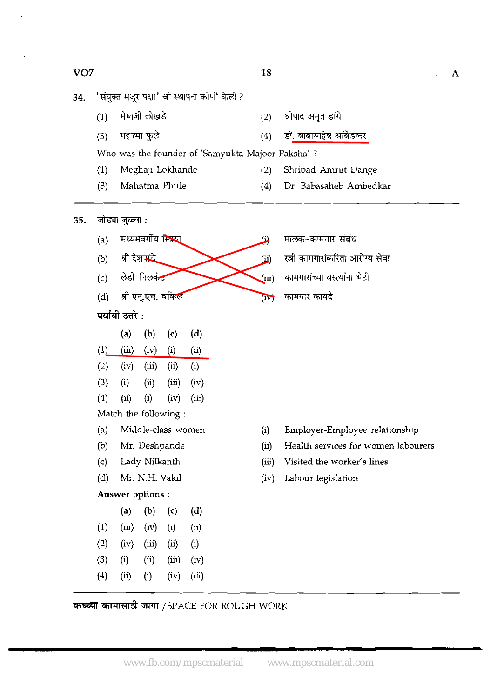$\mathbf{A}$ 

- 34.
	-
	-
- 
- 

(3) @ (4) 3i. e *al%mm*  Who was the founder of 'Samyukta Majoor Paksha' ?

- (1) Meghaji Lokhande (2) Shripad Amut Dange
- (3) Mahatma Phule (4) Dr. Babasaheb Ambedkar
- जोड्या जुळवा : 35.
	- (a) मध्यमवर्गीय स्त्रिया (b) श्री देशपा<u>ंडे</u> (c) ਲੇਫੀ ਜਿਲ<del>ਕਂ**ਣ**</del> (b) श्री देशपांडे<br>(c) लेडी निलकं<del>ठ</del><br>(d) श्री एन्.एच. वक्तिल
	- (d) श्री एन्.एच. वकिल<br>**पर्यायी उत्तरे :**<br>(a) (b) (c)
	-
	- (a) (b) (c) (d)  $(1)$   $(iii)$   $(iv)$   $(i)$   $(ii)$  $(2)$   $(iv)$   $(iii)$   $(ii)$   $(i)$ **(3)** (i) (ii) (iii) (iv)
	- (4) (ii) (i) (iv) **(iii)**
	- Match the following :
	- (a) Middle-class women
	- (b) Mr. Deshpar.de
	- (c) Lady Nilkanth
	- (d) Mr. N.H. Vakil

### Answer options :

- (a) (b) (c) (d)
- $(1)$   $(iii)$   $(iv)$   $(i)$   $(ii)$
- $(2)$   $(iv)$   $(iii)$   $(ii)$   $(i)$
- **(3)** (i) (ii) (iii) (iv)
- (4) (ii) (i) (iv) (iii)
- **ii)** मालक-कामगार संबंध
- (ii) wh &3l
- <u>(iii) कामगारांच्या वस्त्यांना भेटी</u>
- $\overline{\mathbf{u}}$

- (i) Employer-Employee relationship
- (ii) Health services for women labourers
- (iii) Visited the worker's lines
- (iv) Labour legislation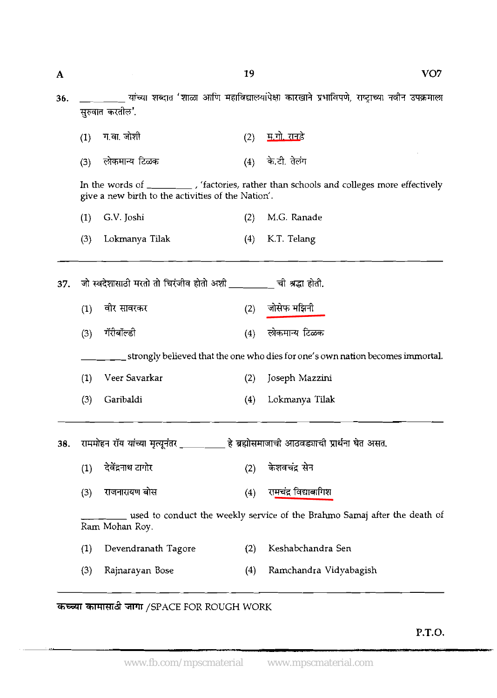19

**कच्च्या कामासाठी जागा /SPACE FOR ROUGH WORK** 

.<br>ب

 $\mathbf{A}$ 

**P.T.O.** 

 $VO7$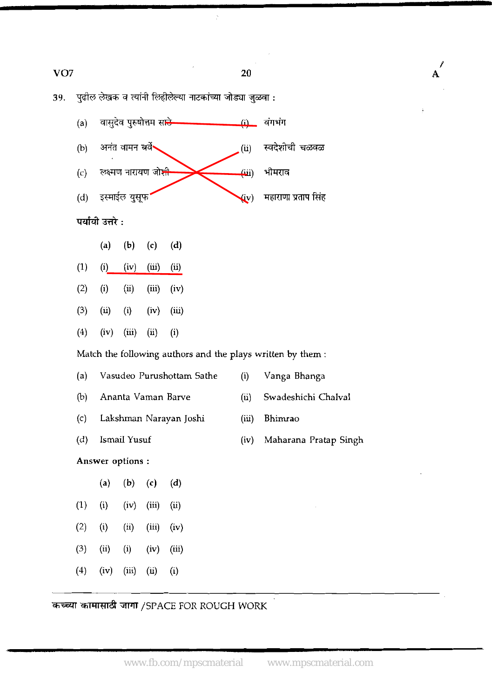| VO <sub>7</sub> | 20 | А<br>Œ |
|-----------------|----|--------|

/

39. पुढील लेखक व त्यांनी लिहीलेल्या नाटकांच्या जोड्या जुळवा :

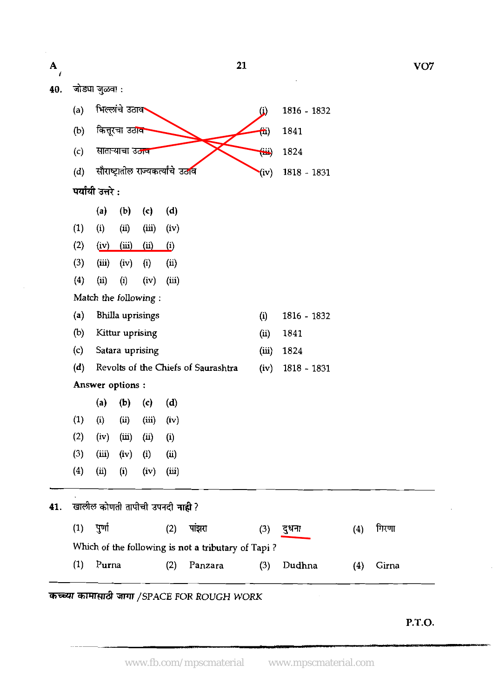| $\mathbf A$<br>Ŧ |     |                  |                        |                                    |                           |                                                    | 21                      |               |     | VO <sub>7</sub> |
|------------------|-----|------------------|------------------------|------------------------------------|---------------------------|----------------------------------------------------|-------------------------|---------------|-----|-----------------|
| 40.              |     | जोड्या जुळवा :   |                        |                                    |                           |                                                    |                         |               |     |                 |
|                  | (a) |                  | भिल्लांचे उठाव         |                                    |                           |                                                    | $\ddot{\Omega}$         | 1816 - 1832   |     |                 |
|                  | (b) |                  | कित्तूरचा उठाव         |                                    |                           |                                                    | $\overline{\mathbf{u}}$ | 1841          |     |                 |
|                  | (c) |                  | साताऱ्याचा उठाव        |                                    |                           |                                                    | $\ddot{\boldsymbol{w}}$ | 1824          |     |                 |
|                  | (d) |                  |                        | सौराष्ट्रातील राज्यकर्त्यांचे उठाव |                           |                                                    | (iv)                    | 1818 - 1831   |     |                 |
|                  |     | पर्यायी उत्तरे : |                        |                                    |                           |                                                    |                         |               |     |                 |
|                  |     | (a)              | (b)                    | $\left( \mathbf{c} \right)$        | (d)                       |                                                    |                         |               |     |                 |
|                  | (1) | (i)              | (ii)                   | (iii)                              | (iv)                      |                                                    |                         |               |     |                 |
|                  | (2) | (iv)             | $\overline{(\rm iii)}$ | <u>(ii)</u>                        | $\overline{(\mathbf{i})}$ |                                                    |                         |               |     |                 |
|                  | (3) | (iii)            | (iv)                   | (i)                                | (ii)                      |                                                    |                         |               |     |                 |
|                  | (4) | (ii)             | (i)                    | (iv)                               | (iii)                     |                                                    |                         |               |     |                 |
|                  |     |                  |                        | Match the following:               |                           |                                                    |                         |               |     |                 |
|                  | (a) |                  |                        | Bhilla uprisings                   |                           |                                                    | (i)                     | 1816 - 1832   |     |                 |
|                  | (b) |                  | Kittur uprising        |                                    |                           |                                                    | (ii)                    | 1841          |     |                 |
|                  | (c) |                  |                        | Satara uprising                    |                           |                                                    | (iii)                   | 1824          |     |                 |
|                  | (d) |                  |                        |                                    |                           | Revolts of the Chiefs of Saurashtra                | (iv)                    | $1818 - 1831$ |     |                 |
|                  |     | Answer options : |                        |                                    |                           |                                                    |                         |               |     |                 |
|                  |     | (a)              | (b)                    | $\mathbf{(c)}$                     | (d)                       |                                                    |                         |               |     |                 |
|                  | (1) | (i)              | (ii)                   | (iii)                              | (iv)                      |                                                    |                         |               |     |                 |
|                  | (2) | (iv)             | (iii)                  | (ii)                               | (i)                       |                                                    |                         |               |     |                 |
|                  | (3) | (iii)            | (iv)                   | (i)                                | (ii)                      |                                                    |                         |               |     |                 |
|                  | (4) | (ii)             | (i)                    | (iv)                               | (iii)                     |                                                    |                         |               |     |                 |
| 41.              |     |                  |                        | खालील कोणती तापीची उपनदी नाही ?    |                           |                                                    |                         |               |     |                 |
|                  | (1) | पुर्णा           |                        |                                    | (2)                       | पांझरा                                             | (3)                     | दुधना         | (4) | गिरणा           |
|                  |     |                  |                        |                                    |                           | Which of the following is not a tributary of Tapi? |                         |               |     |                 |
|                  | (1) | Purna            |                        |                                    | (2)                       | Panzara                                            | (3)                     | Dudhna        | (4) | Girna           |
|                  |     |                  |                        |                                    |                           |                                                    |                         |               |     |                 |
|                  |     |                  |                        |                                    |                           | कच्च्या कामासाठी जागा /SPACE FOR ROUGH WORK        |                         |               |     |                 |
|                  |     |                  |                        |                                    |                           |                                                    |                         |               |     |                 |

**P.T.O.** 

 $\bar{\mathcal{L}}$ 

 $\mathcal{A}^{\mathcal{A}}$ 

 $\mathbf{L}$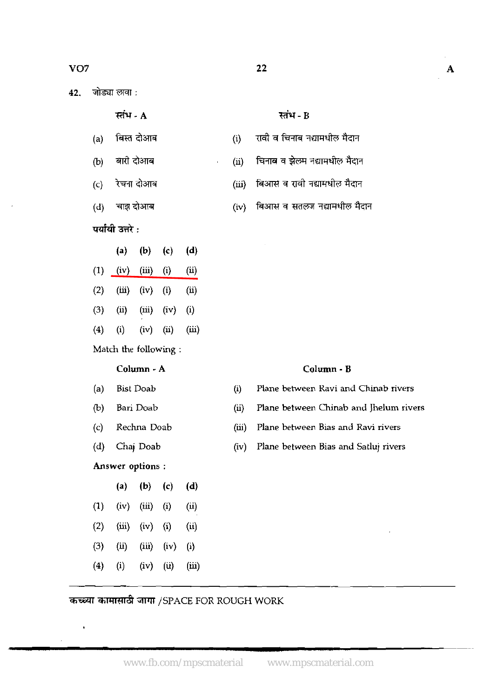- (a) k **dm** (i) **114?4f%~i;1m~43%FT**
- (b) बारी दोआब (ii) चिनाब व झेलम नद्यामधील मैदान
- (c) रेचना दोआब (iii) बिआसे व रावी नद्यामधील मैदान
- (d) चाझ दोआब (iv) बिआस व सतलज नद्यामधील मैदान
- पर्यायी उत्तरे :
- (a) **(b)** (c) (4 (1) (iv) (iii) (i) (ii) **(2)** (iii) (iv) (i) (ii) (3) (ii) (iii) (iv) (i)
- (4) (i) (iv) (ii) (iii)

Match the following :

#### **Column** - **A**

(a) Bist Doab

- (b) Bari Doab
- (c) Rechna Doab
- (d) Chaj Doab

### **Answer options** :

í,

(a) (b)  $(c)$  (d)  $(1)$   $(iv)$   $(iii)$   $(i)$   $(ii)$ **(2)** (iii) (iv) (i) (ii) (3) (ii) (iii) (iv) (i) (4) (i) (iv) (ii) (iii)

- **Column B**
- (i) Plane between Ravi and Chinab rivers
- **(i)** Plane between Chinab and Jhelum rivers
- (iii) Plane between Bias **and** Ravi rivers
- (iv) Plane between Bias and Satluj rivers

# कच्च्या कामासाठी जागा /SPACE FOR ROUGH WORK

www.fb.com/mpscmaterial www.mpscmaterial.com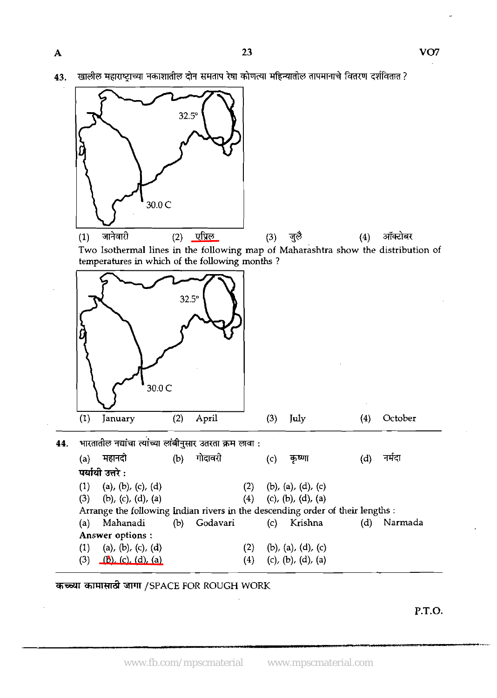खालील महाराष्ट्राच्या नकाशातील दोन समताप रेषा कोणत्या महिन्यातील तापमानाचे वितरण दर्शवितात ? 43.



कच्च्या कामासाठी जागा /SPACE FOR ROUGH WORK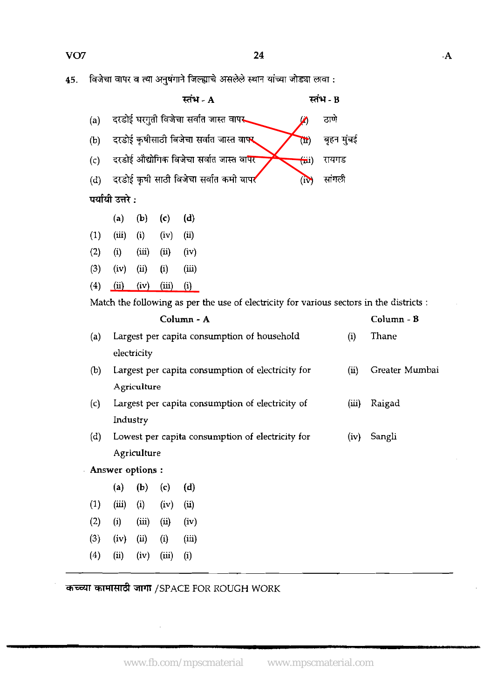45. विजेचा वापर व त्या अनुषंगाने जिल्ह्याचे असलेले स्थान यांच्या जोड्या लावा :

|     |                                                  |       | स्तंभ - A                                                                                |                                       | स्तंभ - B  |                |
|-----|--------------------------------------------------|-------|------------------------------------------------------------------------------------------|---------------------------------------|------------|----------------|
| (a) |                                                  |       | दरडोई घरगुती विजेचा सर्वात जास्त वापर                                                    | Ø                                     | ठाणे       |                |
| (b) |                                                  |       | दरडोई कृषीसाठी विजेचा सर्वात जास्त वा <b>फ्</b>                                          | $\mathbf{E}$                          | बृहन मुंबई |                |
| (c) |                                                  |       | दरडोई औद्योगिक विजेचा सर्वात जास्त वापर                                                  | $\left( \overline{\mathbf{m}}\right)$ | रायगड      |                |
| (d) |                                                  |       | दरडोई कृषी साठी विजेचा सर्वात कमो वापर                                                   | (i)                                   | सांगली     |                |
|     | पर्यायी उत्तरे :                                 |       |                                                                                          |                                       |            |                |
|     | (b)<br>(a)                                       | (c)   | (d)                                                                                      |                                       |            |                |
| (1) | (iii)<br>(i)                                     | (iv)  | (ii)                                                                                     |                                       |            |                |
| (2) | (iii)<br>(i)                                     | (ii)  | (iv)                                                                                     |                                       |            |                |
| (3) | (iv)<br>(ii)                                     | (i)   | (iii)                                                                                    |                                       |            |                |
| (4) | (ii)<br>(iv)                                     | (iii) | (i)                                                                                      |                                       |            |                |
|     |                                                  |       | Match the following as per the use of electricity for various sectors in the districts : |                                       |            |                |
|     |                                                  |       | Column - A                                                                               |                                       |            | Column - B     |
| (a) |                                                  |       | Largest per capita consumption of household                                              |                                       | (i)        | Thane          |
|     | electricity                                      |       |                                                                                          |                                       |            |                |
| (b) |                                                  |       | Largest per capita consumption of electricity for                                        |                                       | (ii)       | Greater Mumbai |
|     | Agriculture                                      |       |                                                                                          |                                       |            |                |
| (c) | Largest per capita consumption of electricity of | (iii) | Raigad                                                                                   |                                       |            |                |
|     | Industry                                         |       |                                                                                          |                                       |            |                |
| (d) |                                                  |       | Lowest per capita consumption of electricity for                                         |                                       | (iv)       | Sangli         |
|     | Agriculture                                      |       |                                                                                          |                                       |            |                |

Answer options :

|     | (a)      | (b)      | (c)   | (d)      |  |
|-----|----------|----------|-------|----------|--|
| (1) | (iii)    | $\rm(i)$ | (iv)  | (ü)      |  |
| (2) | $\rm(i)$ | (iii)    | (i)   | (iv)     |  |
| (3) | (iv)     | (ii)     | (i)   | (iii)    |  |
| (4) | (ii)     | (iv)     | (iii) | $\rm(i)$ |  |
|     |          |          |       |          |  |

**d** /SPACE FOR ROUGH WORK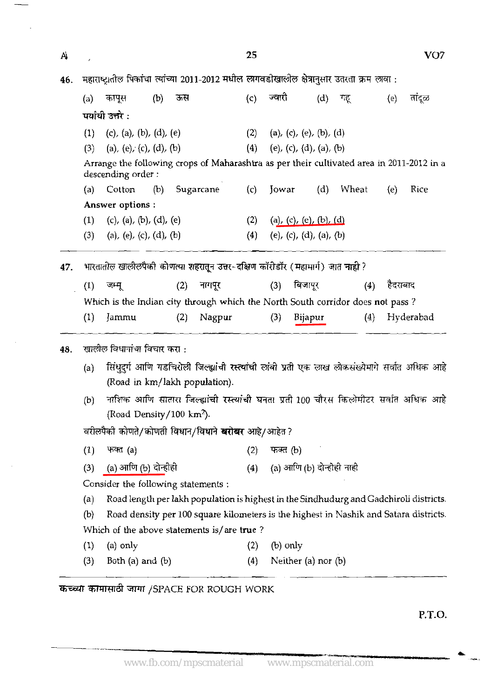|     |                  |                                                                                                                                  |        |     |           | 25  |                             |         |                         |                           |     |          | VO7       |
|-----|------------------|----------------------------------------------------------------------------------------------------------------------------------|--------|-----|-----------|-----|-----------------------------|---------|-------------------------|---------------------------|-----|----------|-----------|
| 46. |                  | महाराष्ट्रातील पिकांचा त्यांच्या 2011-2012 मधील लागवडीखालील क्षेत्रानुसार उतरता क्रम लावा :                                      |        |     |           |     |                             |         |                         |                           |     |          |           |
|     | (a)              | कापूस                                                                                                                            | (b) ऊस |     |           | (c) | ज्वारी                      |         | (d)                     | गह्                       |     | (e)      | तांदूळ    |
|     |                  | पर्यायी उत्तरे :                                                                                                                 |        |     |           |     |                             |         |                         |                           |     |          |           |
|     | (1)              | (c), (a), (b), (d), (e)                                                                                                          |        |     |           |     | (2) (a), (c), (e), (b), (d) |         |                         |                           |     |          |           |
|     | (3)              | (a), (e), (c), (d), (b)                                                                                                          |        |     |           |     | (4) (e), (c), (d), (a), (b) |         |                         |                           |     |          |           |
|     |                  | Arrange the following crops of Maharashtra as per their cultivated area in 2011-2012 in a<br>descending order:                   |        |     |           |     |                             |         |                         |                           |     |          |           |
|     | (a)              | Cotton                                                                                                                           | (b)    |     | Sugarcane |     | $(c)$ Jowar                 |         | (d)                     | Wheat                     |     | (e)      | Rice      |
|     |                  | Answer options :                                                                                                                 |        |     |           |     |                             |         |                         |                           |     |          |           |
|     | (1)              | (c), (a), (b), (d), (e)                                                                                                          |        |     |           | (2) |                             |         | (a), (c), (e), (b), (d) |                           |     |          |           |
|     | (3)              | (a), (e), (c), (d), (b)                                                                                                          |        |     |           | (4) |                             |         | (e), (c), (d), (a), (b) |                           |     |          |           |
| 47. |                  | भारतातील खालीलपैकी कोणत्या शहरातून उत्तर-दक्षिण कॉरीडॉर (महाभार्ग) जात नाही ?                                                    |        |     |           |     |                             |         |                         |                           |     |          |           |
|     | (1)              | जम्मू                                                                                                                            |        | (2) | नागपूर    |     | (3)                         | बिजापूर |                         |                           | (4) | हैदराबाद |           |
|     |                  |                                                                                                                                  |        |     |           |     |                             |         |                         |                           |     |          |           |
|     |                  |                                                                                                                                  |        |     |           |     |                             |         |                         |                           |     |          |           |
|     |                  | Which is the Indian city through which the North South corridor does not pass?                                                   |        |     |           |     |                             |         |                         |                           |     |          |           |
|     | (1)              | Jammu                                                                                                                            |        | (2) | Nagpur    |     | (3)                         | Bijapur |                         |                           | (4) |          | Hyderabad |
| 48. |                  | खालील विधानांचा विचार करा :                                                                                                      |        |     |           |     |                             |         |                         |                           |     |          |           |
|     | (a)              | सिंधुदुर्ग आणि गडचिरोली जिल्ह्यांची रस्त्यांची लांबी प्रती एक लाख लोकसंख्येमागे सर्वात अधिक आहे<br>(Road in km/lakh population). |        |     |           |     |                             |         |                         |                           |     |          |           |
|     | (b)              | नाशिक आणि सातारा जिल्ह्यांची रस्त्यांची घनता प्रती 100 चौरस किलोमीटर सर्वात अधिक आहे<br>(Road Density/100 $km^2$ ).              |        |     |           |     |                             |         |                         |                           |     |          |           |
|     |                  | वरीलपैकी कोणते/कोणती विधान/विधाने <b>बरोबर</b> आहे/आहेत?                                                                         |        |     |           |     |                             |         |                         |                           |     |          |           |
|     | (1)              | फक्त (a)                                                                                                                         |        |     |           | (2) | फक्त (b)                    |         |                         |                           |     |          |           |
|     |                  |                                                                                                                                  |        |     |           | (4) |                             |         |                         |                           |     |          |           |
|     | (3)              | (a) आणि (b) दोन्होहो                                                                                                             |        |     |           |     |                             |         |                         | (a) आणि (b) दोन्होही नाही |     |          |           |
|     |                  | Consider the following statements :                                                                                              |        |     |           |     |                             |         |                         |                           |     |          |           |
|     | (a)              | Road length per lakh population is highest in the Sindhudurg and Gadchiroli districts.                                           |        |     |           |     |                             |         |                         |                           |     |          |           |
|     | (b)              | Road density per 100 square kilometers is the highest in Nashik and Satara districts.                                            |        |     |           |     |                             |         |                         |                           |     |          |           |
|     | $\left(1\right)$ | Which of the above statements is/are true?<br>(a) only                                                                           |        |     |           | (2) | $(b)$ only                  |         |                         |                           |     |          |           |

# कच्च्या कामासाठी जागा /SPACE FOR ROUGH WORK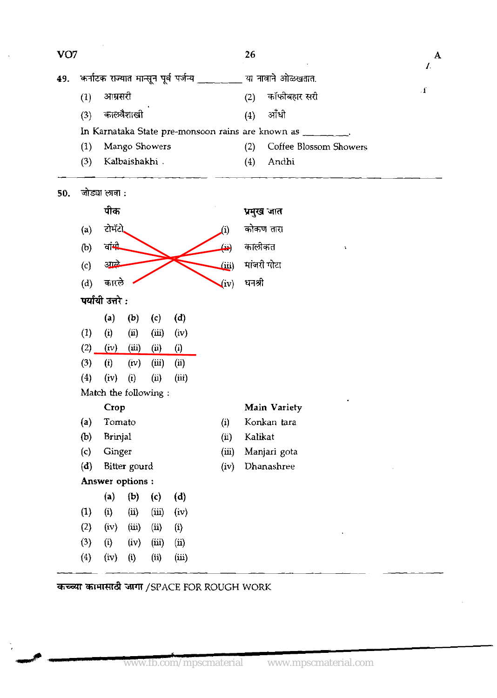| VO <sub>7</sub> |     |                  |                      |       |                                         |                           | 26      |                                                       | I.           |
|-----------------|-----|------------------|----------------------|-------|-----------------------------------------|---------------------------|---------|-------------------------------------------------------|--------------|
| 49.             |     |                  |                      |       | कर्नाटक राज्यात मान्सून पूर्व पर्जन्य _ |                           |         | या नावाने ओळखतात.                                     |              |
|                 | (1) | आम्रसरी          |                      |       |                                         |                           | (2)     | कॉफीबहार सरी                                          | $\mathbf{f}$ |
|                 | (3) |                  | कालवैशाखी            |       |                                         |                           | (4)     | ऑधी                                                   |              |
|                 |     |                  |                      |       |                                         |                           |         | In Karnataka State pre-monsoon rains are known as ___ |              |
|                 | (1) |                  | Mango Showers        |       |                                         |                           | (2)     | Coffee Blossom Showers                                |              |
|                 | (3) |                  | Kalbaishakhi         |       |                                         |                           | (4)     | Andhi                                                 |              |
| 50.             |     | जोड्या लाना :    |                      |       |                                         |                           |         |                                                       |              |
|                 |     | पीक              |                      |       |                                         |                           |         | प्रमुख जात                                            |              |
|                 | (a) | रोमॅरो           |                      |       |                                         | (1)                       |         | कोकण तारा                                             |              |
|                 | (b) | वांमी            |                      |       |                                         | سک                        | कालीकत  | A                                                     |              |
|                 | (c) | अप्टे            |                      |       |                                         | (iii)                     |         | मांजरी गोटा                                           |              |
|                 | (d) | कारले            |                      |       |                                         | (iv)                      | धनश्री  |                                                       |              |
|                 |     | पर्यायी उत्तरे : |                      |       |                                         |                           |         |                                                       |              |
|                 |     | (a)              | (b)                  | (c)   | (d)                                     |                           |         |                                                       |              |
|                 | (1) | (i)              | (i)                  | (iii) | (iv)                                    |                           |         |                                                       |              |
|                 | (2) | (iv)             | (iii)                | (i)   | $\left( i\right)$                       |                           |         |                                                       |              |
|                 | (3) | (i)              | (iv)                 | (iii) | (i)                                     |                           |         |                                                       |              |
|                 | (4) | $(iv)$ (i)       | Match the following: | (ii)  | (iii)                                   |                           |         |                                                       |              |
|                 |     | Crop             |                      |       |                                         |                           |         | Main Variety                                          |              |
|                 | (a) | Tomato           |                      |       |                                         | (i)                       |         | Konkan tara                                           |              |
|                 | (b) | Brinjal          |                      |       |                                         | $\left(\mathbf{u}\right)$ | Kalikat |                                                       |              |
|                 | (c) | Ginger           |                      |       |                                         | (iii)                     |         | Manjari gota                                          |              |
|                 | (d) |                  | Bitter gourd         |       |                                         | (iv)                      |         | Dhanashree                                            |              |
|                 |     |                  | Answer options:      |       |                                         |                           |         |                                                       |              |
|                 |     | (a)              | (b)                  | (c)   | (d)                                     |                           |         |                                                       |              |
|                 | (1) | (i)              | $\langle ii \rangle$ | (iii) | (iv)                                    |                           |         |                                                       |              |
|                 | (2) | (iv)             | (iii)                | (ii)  | (i)                                     |                           |         |                                                       |              |
|                 | (3) | (i)              | (iv)                 | (iii) | $\overline{u}$                          |                           |         |                                                       |              |
|                 | (4) | (iv)             | (i)                  | (ii)  | (iii)                                   |                           |         |                                                       |              |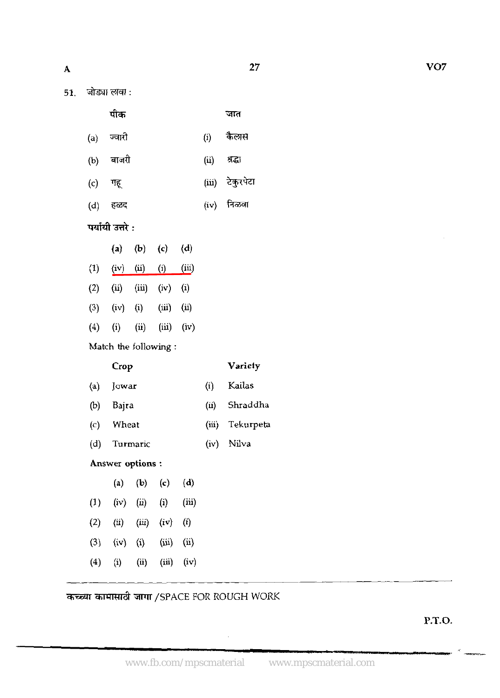|     | जोड्या लावा : |  |
|-----|---------------|--|
| 51. |               |  |

| जात |
|-----|
|     |

| $(a)$ ज्वारी |  | कैलास |
|--------------|--|-------|
|--------------|--|-------|

- बाजरी (u) **m**   $(b)$
- टेकुरपेटा गहू  $(iii)$  $(c)$
- (d) हळद<br>**पर्यायी उत्त**रे : (iv) निळवा हळद

|                  | (a)  | $\langle \mathbf{b} \rangle$ | (c)               | (d)            |  |
|------------------|------|------------------------------|-------------------|----------------|--|
| $\left(1\right)$ | (iv) | (ü)                          | $\left( i\right)$ | (щ)            |  |
| (2)              | (ü)  | (iii)                        | (iv)              | $\rm \bf{(i)}$ |  |
| (3)              | (iv) | $\rm (i)$                    | (iii)             | (ii)           |  |
| $\left(4\right)$ | (i)  | $\overline{u}$               | (iii)             | (iv)           |  |

**Match the** following :

**Crop Variety** 

- **(a) Jowar (i) Kailas**
- @) **Bajra (ii) Shraddha**
- *(c)* **Wheat** (iiij **Tekurpeta**
- **(d) Turmaric (iv) Nilva**

**Answer options** :

|                  | $\left( a\right)$ | (b)           | (c)      | (d)      |  |
|------------------|-------------------|---------------|----------|----------|--|
| $\left(1\right)$ | (iv)              | (n)           | $\rm(i)$ | (iii)    |  |
| (2)              | (ii)              | (iii)         | (iv)     | $\bf(i)$ |  |
| (3)              | (iv)              | $\rm \bf (i)$ | (iii)    | (ii)     |  |
| (4)              | $\bf{(i)}$        | (ii)          | (iii)    | (iv)     |  |

कच्च्या कामासाठी जागा /SPACE FOR ROUGH WORK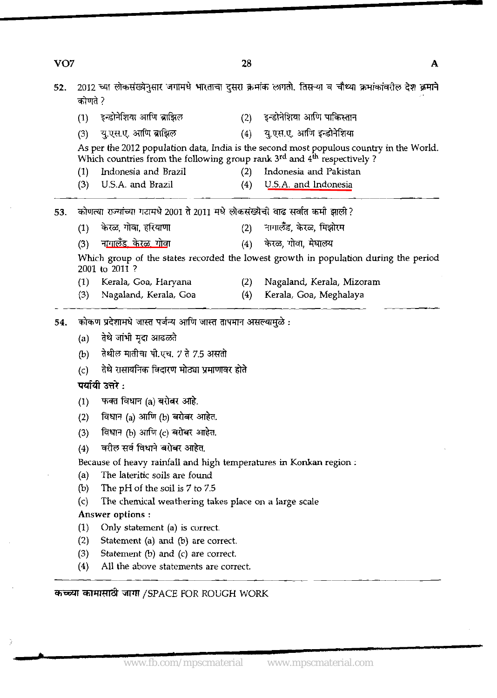| VO <sub>7</sub> |                   |                                                                                        | 28  |                                                                                                         | A |
|-----------------|-------------------|----------------------------------------------------------------------------------------|-----|---------------------------------------------------------------------------------------------------------|---|
| 52.             | कोणते ?           |                                                                                        |     | 2012 च्या लोकसंख्येनुसार जगामधे भारताचा दुसरा क्रमांक लागतो. तिसऱ्या व चौथ्या क्रमांकांवरील देश क्रमाने |   |
|                 | (1)               | इन्डोनेशिया आणि ब्राझिल                                                                | (2) | इन्डोनेशिया आणि पाकिस्तान                                                                               |   |
|                 | (3)               | यु.एस.ए. आणि ब्राझिल                                                                   | (4) | यु.एस.ए. आणि इन्डोनेशिया                                                                                |   |
|                 |                   | Which countries from the following group rank $3^{rd}$ and $4^{th}$ respectively?      |     | As per the 2012 population data, India is the second most populous country in the World.                |   |
|                 | (1)               | Indonesia and Brazil                                                                   | (2) | Indonesia and Pakistan                                                                                  |   |
|                 | (3)               | U.S.A. and Brazil                                                                      | (4) | U.S.A. and Indonesia                                                                                    |   |
| 53.             |                   | कोणत्या राज्यांच्या गटामधे 2001 ते 2011 मधे लोकसंख्येची वाढ सर्वात कमी झाली?           |     |                                                                                                         |   |
|                 | (1)               | केरळ, गोवा, हरियाणा                                                                    | (2) | नागालँड, केरळ, मिझोरम                                                                                   |   |
|                 | (3)               | ना <u>गालँड, केरळ, गोवा</u>                                                            | (4) | केरळ, गोवा, मेघालय                                                                                      |   |
|                 |                   | 2001 to 2011?                                                                          |     | Which group of the states recorded the lowest growth in population during the period                    |   |
|                 | (1)               | Kerala, Goa, Haryana                                                                   | (2) | Nagaland, Kerala, Mizoram                                                                               |   |
|                 | (3)               | Nagaland, Kerala, Goa                                                                  | (4) | Kerala, Goa, Meghalaya                                                                                  |   |
| 54.             |                   | कोकण प्रदेशामधे जास्त पर्जन्य आणि जास्त तापमान असल्यामुळे :                            |     |                                                                                                         |   |
|                 | (a)               | तेथे जांभी मृदा आढळते                                                                  |     |                                                                                                         |   |
|                 | (b)               | तेथील मातीचा पो.एच. 7 ते 7.5 असतो                                                      |     |                                                                                                         |   |
|                 | (c)               | तेथे रासायनिक विदारण मोठ्या प्रमाणावर होते                                             |     |                                                                                                         |   |
|                 |                   | पर्यायी उत्तरे :                                                                       |     |                                                                                                         |   |
|                 |                   |                                                                                        |     |                                                                                                         |   |
|                 | (1)               | फक्त विधान (a) बरोबर आहे.                                                              |     |                                                                                                         |   |
|                 | (2)               | विधान (a) आणि (b) बरोबर आहेत.                                                          |     |                                                                                                         |   |
|                 | (3)               | विधान (b) आणि (c) बरोबर आहेत.                                                          |     |                                                                                                         |   |
|                 | (4)               | वरील सर्व विधाने बरोबर आहेत.                                                           |     |                                                                                                         |   |
|                 |                   | Because of heavy rainfall and high temperatures in Konkan region:                      |     |                                                                                                         |   |
|                 | (a)               | The lateritic soils are found                                                          |     |                                                                                                         |   |
|                 | (b)<br>(c)        | The pH of the soil is 7 to 7.5<br>The chemical weathering takes place on a large scale |     |                                                                                                         |   |
|                 |                   | Answer options:                                                                        |     |                                                                                                         |   |
|                 | (1)               | Only statement (a) is correct.                                                         |     |                                                                                                         |   |
|                 | (2)               | Statement (a) and (b) are correct.                                                     |     |                                                                                                         |   |
|                 | (3)               | Statement (b) and (c) are correct.                                                     |     |                                                                                                         |   |
|                 | $\left( 4\right)$ | All the above statements are correct.                                                  |     |                                                                                                         |   |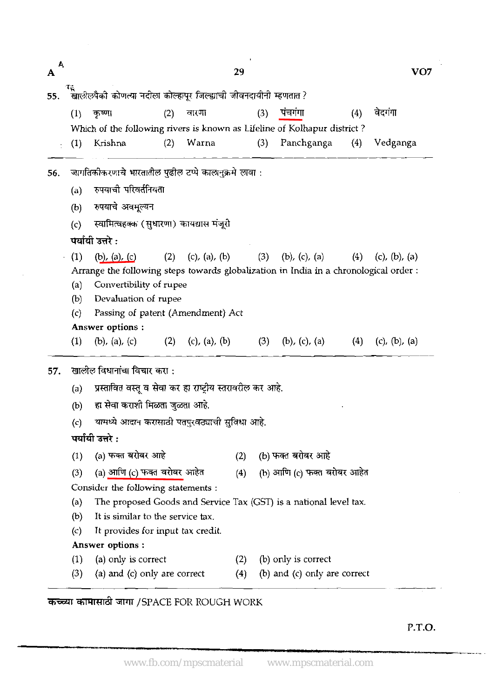| Ą<br>A |                   |                                                                    |     |               | 29  |     |                                                                                       |     | VO7                   |  |  |  |
|--------|-------------------|--------------------------------------------------------------------|-----|---------------|-----|-----|---------------------------------------------------------------------------------------|-----|-----------------------|--|--|--|
| 55.    |                   | खालीलपैकी कोणत्या नदीला कोल्हापूर जिल्ह्याची जीवनदायीनी म्हणतात ?  |     |               |     |     |                                                                                       |     |                       |  |  |  |
|        | (1)               | कृष्णा                                                             | (2) | वारणा         |     | (3) | पंचगंगा                                                                               | (4) | वेदगंगा               |  |  |  |
|        |                   |                                                                    |     |               |     |     | Which of the following rivers is known as Lifeline of Kolhapur district?              |     |                       |  |  |  |
|        | $\left(1\right)$  | Krishna                                                            | (2) | Warna         |     | (3) | Panchganga                                                                            | (4) | Vedganga              |  |  |  |
|        |                   |                                                                    |     |               |     |     |                                                                                       |     |                       |  |  |  |
| 56.    |                   | जागतिकोकरणाचे भारतातील पुढील टप्पे कालानुक्रमे लावा :              |     |               |     |     |                                                                                       |     |                       |  |  |  |
|        | (a)               | रुपयाची परिवर्तनियता                                               |     |               |     |     |                                                                                       |     |                       |  |  |  |
|        | (b)               | रुपयाचे अवमूल्यन                                                   |     |               |     |     |                                                                                       |     |                       |  |  |  |
|        | (c)               | स्वामित्वहक्क (सुधारणा) कायद्यास मंजूरी                            |     |               |     |     |                                                                                       |     |                       |  |  |  |
|        |                   | पर्यायी उत्तरे :                                                   |     |               |     |     |                                                                                       |     |                       |  |  |  |
|        | (1)               | (b), (a), (c)                                                      | (2) | (c), (a), (b) |     | (3) | (b), (c), (a)                                                                         | (4) | (c), (b), (a)         |  |  |  |
|        |                   |                                                                    |     |               |     |     | Arrange the following steps towards globalization in India in a chronological order : |     |                       |  |  |  |
|        | (a)               | Convertibility of rupee                                            |     |               |     |     |                                                                                       |     |                       |  |  |  |
|        | (b)               | Devaluation of rupee                                               |     |               |     |     |                                                                                       |     |                       |  |  |  |
|        | (c)               | Passing of patent (Amendment) Act                                  |     |               |     |     |                                                                                       |     |                       |  |  |  |
|        |                   | Answer options:                                                    |     |               |     |     |                                                                                       |     |                       |  |  |  |
|        | (1)               | (b), (a), (c)                                                      | (2) | (c), (a), (b) |     | (3) | (b), (c), (a)                                                                         | (4) | $(c)$ , $(b)$ , $(a)$ |  |  |  |
| 57.    |                   | खालील विधानांचा विचार करा :                                        |     |               |     |     |                                                                                       |     |                       |  |  |  |
|        | (a)               | प्रस्तावित वस्तू व सेवा कर हा राष्ट्रीय स्तरावरील कर आहे.          |     |               |     |     |                                                                                       |     |                       |  |  |  |
|        | (b)               | हा सेवा कराशी मिळता जुळता आहे.                                     |     |               |     |     |                                                                                       |     |                       |  |  |  |
|        | (c)               | यामध्ये आदान करासाठो पतपुरवठ्याची सुविधा आहे.                      |     |               |     |     |                                                                                       |     |                       |  |  |  |
|        |                   | पर्यायी उत्तरे :                                                   |     |               |     |     |                                                                                       |     |                       |  |  |  |
|        | (1)               | (a) फक्त <b>बरोबर</b> आहे                                          |     |               | (2) |     | (b) फक्त बरोबर आहे                                                                    |     |                       |  |  |  |
|        | (3)               |                                                                    |     |               | (4) |     | (b) आणि (c) फक्त बरोबर आहेत                                                           |     |                       |  |  |  |
|        |                   | (a) आणि (c) फक्त बरोबर आहेत<br>Consider the following statements : |     |               |     |     |                                                                                       |     |                       |  |  |  |
|        | (a)               |                                                                    |     |               |     |     | The proposed Goods and Service Tax (GST) is a national level tax.                     |     |                       |  |  |  |
|        | (b)               | It is similar to the service tax.                                  |     |               |     |     |                                                                                       |     |                       |  |  |  |
|        | $\left( c\right)$ | It provides for input tax credit.                                  |     |               |     |     |                                                                                       |     |                       |  |  |  |
|        |                   | Answer options:                                                    |     |               |     |     |                                                                                       |     |                       |  |  |  |
|        | (1)               | (a) only is correct                                                |     |               | (2) |     | (b) only is correct                                                                   |     |                       |  |  |  |
|        | (3)               | (a) and (c) only are correct                                       |     |               | (4) |     | (b) and (c) only are correct                                                          |     |                       |  |  |  |

**कच्च्या कामासाठी जागा /SPACE FOR ROUGH WORK** 

P.T.O.

t,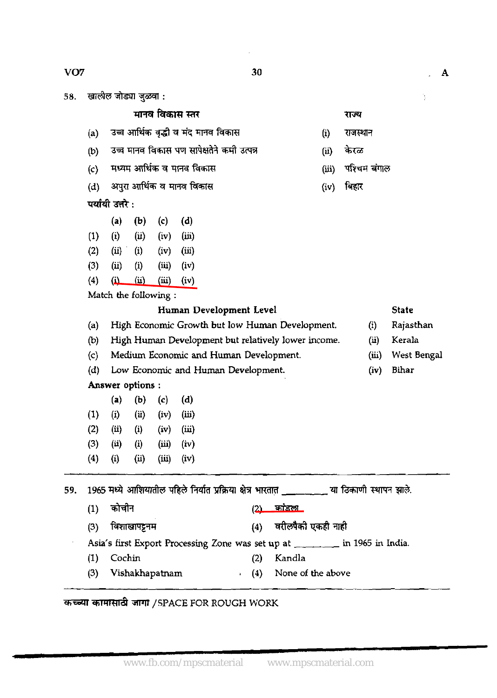खालील जोड्या जुळवा : 58.

VO<sub>7</sub>

| मानव विकास स्तर |
|-----------------|
|-----------------|

- (a) उच्च आर्थिक वृद्धी व मंद मानव विकास
- (b) उच्च मानव विकास पण सापेक्षतेने कमी उत्पन्न
- $(c)$  मध्यम आर्थिक व मानव विकास
- (d) अपुरा आर्थिक व मानव विकास

# पर्यायी उत्तरे:

- (a) (b) (c) (d)  $(1)$   $(i)$   $(ii)$   $(iv)$   $(iii)$  $(2)$   $(ii)$   $(i)$   $(iv)$   $(iii)$
- (3) (ii) (i) (iii) (iv)
- (4) (i) (ii) **(iii)** (iv)

Match the following :

# Human Development Level State

(a) High Economic Growth but low **Human** Development. (i) Rajasthan

- (b) High Human Development but relatively lower income. (ii) Kerala
- (c) Medium Economic and **Human** Development. (iii) West Bengal
- (d) Low Economic **and** Human Development. (iv) Bihar

# Answer options :

- $(a)$   $(b)$   $(c)$   $(d)$ (1) (i) **(ii)** (iv) (i) (2) **(ii)** (i) (iv) (iii)
- (3) **(ii)** (i) (iii) (iv)
- (4) (i) **(ii) (iii)** (iv)

|     |     | (a)               | (b)               | (c)            | (d)   |         |            |                                                                                               |
|-----|-----|-------------------|-------------------|----------------|-------|---------|------------|-----------------------------------------------------------------------------------------------|
|     | (1) | $\bf(i)$          | (i)               | (iv)           | (iii) |         |            |                                                                                               |
|     | (2) | (ii)              | $\left( i\right)$ | (iv)           | (iii) |         |            |                                                                                               |
|     | (3) | (i)               | (i)               | (iii)          | (iv)  |         |            |                                                                                               |
|     | (4) | $\left( i\right)$ | (i)               | (iii)          | (iv)  |         |            |                                                                                               |
| 59. |     |                   |                   |                |       |         |            |                                                                                               |
|     |     |                   |                   |                |       |         |            | 1965 मध्ये आशियातील पहिले निर्यात प्रक्रिया क्षेत्र भारतात ___________ या ठिकाणी स्थापन झाले. |
|     | (1) | कोचीन             |                   |                |       |         | <u>(2)</u> | <u>कांडला</u>                                                                                 |
|     | (3) |                   | विशाखापट्टनम      |                |       |         | (4)        | वरीलपैकी एकही नाही                                                                            |
|     |     |                   |                   |                |       |         |            | Asia's first Export Processing Zone was set up at _______ in 1965 in India.                   |
|     | (1) | Cochin            |                   |                |       |         | (2)        | Kandla                                                                                        |
|     | (3) |                   |                   | Vishakhapatnam |       | $\cdot$ | (4)        | None of the above                                                                             |
|     |     |                   |                   |                |       |         |            |                                                                                               |

# **W4TRd** TJIT **/SPACE** FOR ROUGH WORK

- 
- 
- 
- 
- राज्य<br>(i) राजस्थान<br>(ii) केरळ
- (ii) केरळ
- (iii) पश्चिम बंगाल
- $(iv)$  बिहार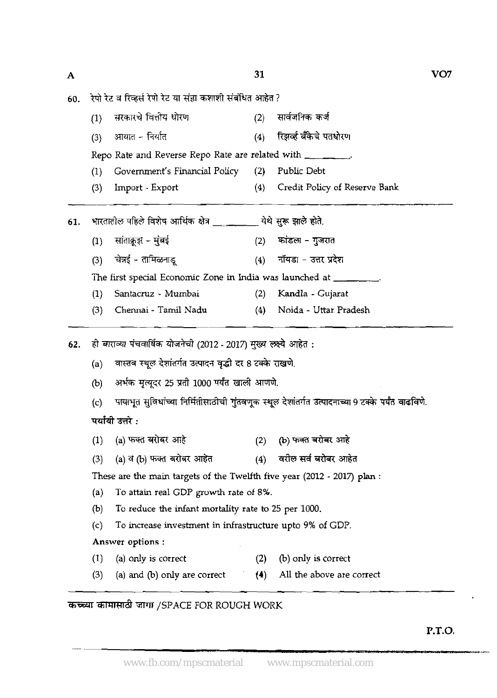रेपो रेट व रिव्हर्स रेपो रेट या संज्ञा कशाशी संबंधित आहेत ? 60.

| (1) | सरकारचे वित्तीय धोरण                                       | (2) | सार्वजनिक कर्ज                |
|-----|------------------------------------------------------------|-----|-------------------------------|
| (3) | आयात - निर्यात                                             | (4) | रिझर्व्ह बँकेचे पतधोरण        |
|     | Repo Rate and Reverse Repo Rate are related with ________. |     |                               |
| (1) | Government's Financial Policy (2) Public Debt              |     |                               |
| (3) | Import - Export                                            | (4) | Credit Policy of Reserve Bank |
|     |                                                            |     |                               |

**61.** WiiR%'d8\*JTfi&& **a9** 3fF&\*. (1) **-fm.Y-H (2)** - - <sup>m</sup> (3) **w** - (4) imsr - **<sup>m</sup>**\*

The first special Economic Zone in India was launched at

- (1) Santacruz Mumbai (2) Kandla Cujarat
- **(3)** Chennai Tamil Nadu (4) Noida Uttar Pradesh

ही बाराव्या पंचवार्षिक योजनेची (2012 - 2017) मुख्य लक्ष्ये आहेत : 62.

(a) वास्तव स्थूल देशांतर्गत उत्पादन वृद्धी दर 8 टक्के राखणे.

अर्भक मृत्यूदर 25 प्रती 1000 पर्यंत खाली आणणे.  $(b)$ 

(c) पायाभूत सुविधांच्या निर्मितीसाठीची गुंतवणूक स्थूल देशांतर्गत उत्पादनाच्या 9 टक्के पर्यंत <mark>वाढविणे.</mark><br>पर्या<mark>यी उत्तरे</mark> : (1) (a) w+3 \* **(2)** @)%\*+

- (3) (a) **<sup>3</sup>**@) \* (4) **\*d\*m**
- 

These are the main targets of the Twelfth five year (2012 - 2017) plan :

- (a) To attain real CDP growth rate of 8%.
- (b) To reduce the infant mortality rate to 25 per 1000.
- (c) To increase investment in infrastructure upto 9% of CDP.

# Answer options :

- (1) (a) only is correct (2) (b) only is correct
- (3) (a) and (b) only are correct  $(4)$  All the above are correct

# कच्च्या कामासाठी जागा /SPACE FOR ROUGH WORK

**P.T.O.** 

**"A,** 

 $\overline{A}$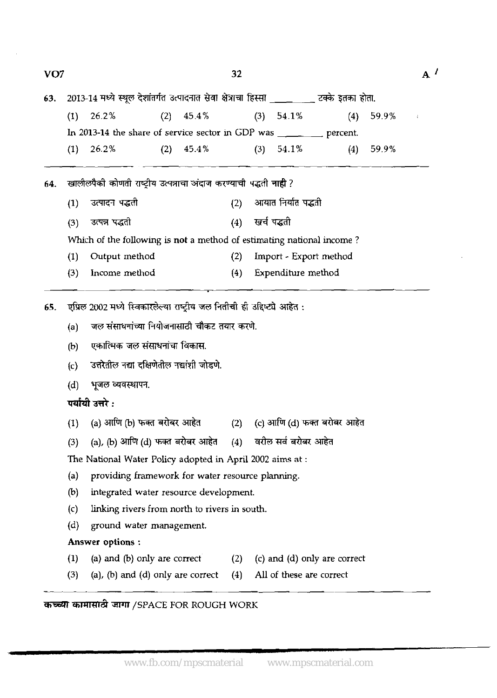|     |                                                           |                                                                          |                                | 32                                                                                                                      |                                                                                                                                                 |                                                                                                                                        |                                                                                                                                                                                                                                                                                                             |                                                                                                                                                                                                                                                                         | $A^{\prime}$                                                                                                                                                                                     |
|-----|-----------------------------------------------------------|--------------------------------------------------------------------------|--------------------------------|-------------------------------------------------------------------------------------------------------------------------|-------------------------------------------------------------------------------------------------------------------------------------------------|----------------------------------------------------------------------------------------------------------------------------------------|-------------------------------------------------------------------------------------------------------------------------------------------------------------------------------------------------------------------------------------------------------------------------------------------------------------|-------------------------------------------------------------------------------------------------------------------------------------------------------------------------------------------------------------------------------------------------------------------------|--------------------------------------------------------------------------------------------------------------------------------------------------------------------------------------------------|
|     |                                                           |                                                                          |                                |                                                                                                                         |                                                                                                                                                 |                                                                                                                                        |                                                                                                                                                                                                                                                                                                             |                                                                                                                                                                                                                                                                         |                                                                                                                                                                                                  |
| (1) | 26.2%                                                     |                                                                          |                                |                                                                                                                         |                                                                                                                                                 |                                                                                                                                        | (4)                                                                                                                                                                                                                                                                                                         | 59.9%                                                                                                                                                                                                                                                                   | $\pm$                                                                                                                                                                                            |
|     |                                                           |                                                                          |                                |                                                                                                                         |                                                                                                                                                 |                                                                                                                                        |                                                                                                                                                                                                                                                                                                             |                                                                                                                                                                                                                                                                         |                                                                                                                                                                                                  |
| (1) | 26.2%                                                     |                                                                          |                                |                                                                                                                         |                                                                                                                                                 |                                                                                                                                        |                                                                                                                                                                                                                                                                                                             | 59.9%                                                                                                                                                                                                                                                                   |                                                                                                                                                                                                  |
|     |                                                           |                                                                          |                                |                                                                                                                         |                                                                                                                                                 |                                                                                                                                        |                                                                                                                                                                                                                                                                                                             |                                                                                                                                                                                                                                                                         |                                                                                                                                                                                                  |
|     |                                                           |                                                                          |                                |                                                                                                                         |                                                                                                                                                 |                                                                                                                                        |                                                                                                                                                                                                                                                                                                             |                                                                                                                                                                                                                                                                         |                                                                                                                                                                                                  |
|     |                                                           |                                                                          |                                |                                                                                                                         |                                                                                                                                                 |                                                                                                                                        |                                                                                                                                                                                                                                                                                                             |                                                                                                                                                                                                                                                                         |                                                                                                                                                                                                  |
|     |                                                           |                                                                          |                                |                                                                                                                         |                                                                                                                                                 |                                                                                                                                        |                                                                                                                                                                                                                                                                                                             |                                                                                                                                                                                                                                                                         |                                                                                                                                                                                                  |
|     |                                                           |                                                                          |                                |                                                                                                                         |                                                                                                                                                 |                                                                                                                                        |                                                                                                                                                                                                                                                                                                             |                                                                                                                                                                                                                                                                         |                                                                                                                                                                                                  |
|     |                                                           |                                                                          |                                |                                                                                                                         |                                                                                                                                                 |                                                                                                                                        |                                                                                                                                                                                                                                                                                                             |                                                                                                                                                                                                                                                                         |                                                                                                                                                                                                  |
|     |                                                           |                                                                          |                                |                                                                                                                         |                                                                                                                                                 |                                                                                                                                        |                                                                                                                                                                                                                                                                                                             |                                                                                                                                                                                                                                                                         |                                                                                                                                                                                                  |
|     |                                                           |                                                                          |                                |                                                                                                                         |                                                                                                                                                 |                                                                                                                                        |                                                                                                                                                                                                                                                                                                             |                                                                                                                                                                                                                                                                         |                                                                                                                                                                                                  |
|     |                                                           |                                                                          |                                |                                                                                                                         |                                                                                                                                                 |                                                                                                                                        |                                                                                                                                                                                                                                                                                                             |                                                                                                                                                                                                                                                                         |                                                                                                                                                                                                  |
|     |                                                           |                                                                          |                                |                                                                                                                         |                                                                                                                                                 |                                                                                                                                        |                                                                                                                                                                                                                                                                                                             |                                                                                                                                                                                                                                                                         |                                                                                                                                                                                                  |
|     |                                                           |                                                                          |                                |                                                                                                                         |                                                                                                                                                 |                                                                                                                                        |                                                                                                                                                                                                                                                                                                             |                                                                                                                                                                                                                                                                         |                                                                                                                                                                                                  |
| (c) |                                                           |                                                                          |                                |                                                                                                                         |                                                                                                                                                 |                                                                                                                                        |                                                                                                                                                                                                                                                                                                             |                                                                                                                                                                                                                                                                         |                                                                                                                                                                                                  |
| (d) | भूजल व्यवस्थापन.                                          |                                                                          |                                |                                                                                                                         |                                                                                                                                                 |                                                                                                                                        |                                                                                                                                                                                                                                                                                                             |                                                                                                                                                                                                                                                                         |                                                                                                                                                                                                  |
|     |                                                           |                                                                          |                                |                                                                                                                         |                                                                                                                                                 |                                                                                                                                        |                                                                                                                                                                                                                                                                                                             |                                                                                                                                                                                                                                                                         |                                                                                                                                                                                                  |
| (1) |                                                           |                                                                          |                                |                                                                                                                         |                                                                                                                                                 |                                                                                                                                        |                                                                                                                                                                                                                                                                                                             |                                                                                                                                                                                                                                                                         |                                                                                                                                                                                                  |
| (3) |                                                           |                                                                          |                                | (4)                                                                                                                     |                                                                                                                                                 |                                                                                                                                        |                                                                                                                                                                                                                                                                                                             |                                                                                                                                                                                                                                                                         |                                                                                                                                                                                                  |
|     |                                                           |                                                                          |                                |                                                                                                                         |                                                                                                                                                 |                                                                                                                                        |                                                                                                                                                                                                                                                                                                             |                                                                                                                                                                                                                                                                         |                                                                                                                                                                                                  |
| (a) |                                                           |                                                                          |                                |                                                                                                                         |                                                                                                                                                 |                                                                                                                                        |                                                                                                                                                                                                                                                                                                             |                                                                                                                                                                                                                                                                         |                                                                                                                                                                                                  |
| (b) |                                                           |                                                                          |                                |                                                                                                                         |                                                                                                                                                 |                                                                                                                                        |                                                                                                                                                                                                                                                                                                             |                                                                                                                                                                                                                                                                         |                                                                                                                                                                                                  |
| (c) |                                                           |                                                                          |                                |                                                                                                                         |                                                                                                                                                 |                                                                                                                                        |                                                                                                                                                                                                                                                                                                             |                                                                                                                                                                                                                                                                         |                                                                                                                                                                                                  |
| (d) |                                                           |                                                                          |                                |                                                                                                                         |                                                                                                                                                 |                                                                                                                                        |                                                                                                                                                                                                                                                                                                             |                                                                                                                                                                                                                                                                         |                                                                                                                                                                                                  |
|     |                                                           |                                                                          |                                |                                                                                                                         |                                                                                                                                                 |                                                                                                                                        |                                                                                                                                                                                                                                                                                                             |                                                                                                                                                                                                                                                                         |                                                                                                                                                                                                  |
| (1) |                                                           |                                                                          |                                | (2)                                                                                                                     |                                                                                                                                                 |                                                                                                                                        |                                                                                                                                                                                                                                                                                                             |                                                                                                                                                                                                                                                                         |                                                                                                                                                                                                  |
| (3) |                                                           |                                                                          |                                | (4)                                                                                                                     |                                                                                                                                                 |                                                                                                                                        |                                                                                                                                                                                                                                                                                                             |                                                                                                                                                                                                                                                                         |                                                                                                                                                                                                  |
|     | VO <sub>7</sub><br>(1)<br>(3)<br>(1)<br>(3)<br>(a)<br>(b) | उत्पादन पद्धती<br>उत्पन्न पद्धती<br>पर्यायी उत्तरे :<br>Answer options : | Output method<br>Income method | $(2)$ 45.4%<br>$(2)$ 45.4%<br>एकात्मिक जल संसाधनांचा विकास.<br>ground water management.<br>(a) and (b) only are correct | (2)<br>(4)<br>(2)<br>(4)<br>उत्तरेतील नद्या दक्षिणेतील नद्यांशी जोडणे.<br>(a), (b) आणि (d) फक्त बरोबर आहेत<br>(a), (b) and (d) only are correct | जल संसाधनांच्या नियोजनासाठी चौकट तयार करणे.<br>integrated water resource development.<br>linking rivers from north to rivers in south. | $(3)$ 54.1%<br>$(3)$ 54.1%<br>खालीलपैकी कोणती राष्ट्रीय उत्पन्नाचा अंदाज करण्याची पद्धती नाही ?<br>खर्च पद्धती<br>एप्रिल 2002 मध्ये स्विकारलेल्या राष्ट्रीय जल नितीची ही उद्दिष्ट्ये आहेत :<br>The National Water Policy adopted in April 2002 aims at:<br>providing framework for water resource planning. | In 2013-14 the share of service sector in GDP was ________ percent.<br>आयात निर्यात पद्धती<br>Which of the following is not a method of estimating national income?<br>Import - Export method<br>Expenditure method<br>वरील सर्व बरोबर आहेत<br>All of these are correct | 2013-14 मध्ये स्थूल देशांतर्गत उत्पादनात सेवा क्षेत्राचा हिस्सा _________ टक्के इतका होता.<br>(4)<br>(a) आणि (b) फक्त बरोबर आहेत (2) (c) आणि (d) फक्त बरोबर आहेत<br>(c) and (d) only are correct |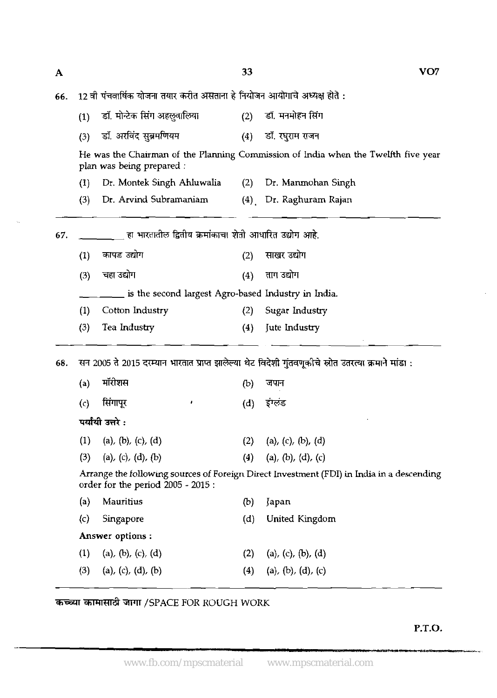12 वी पंचवार्षिक योजना तयार करीत असताना हे नियोजन आयोगाचे अध्यक्ष होते :

|     | (1)                                                 | डॉ. मोन्टेक सिंग अहलूवालिया                            | (2) | डॉ. मनमोहन सिंग                                                                                      |  |  |  |  |  |  |  |  |
|-----|-----------------------------------------------------|--------------------------------------------------------|-----|------------------------------------------------------------------------------------------------------|--|--|--|--|--|--|--|--|
|     | (3)                                                 | डॉ. अरविंद सुब्रमणियम                                  | (4) | डॉ. रघुराम राजन                                                                                      |  |  |  |  |  |  |  |  |
|     |                                                     | plan was being prepared :                              |     | He was the Chairman of the Planning Commission of India when the Twelfth five year                   |  |  |  |  |  |  |  |  |
|     | (1)                                                 | Dr. Montek Singh Ahluwalia                             | (2) | Dr. Manmohan Singh                                                                                   |  |  |  |  |  |  |  |  |
|     | (3)                                                 | Dr. Arvind Subramaniam                                 | (4) | Dr. Raghuram Rajan                                                                                   |  |  |  |  |  |  |  |  |
| 67. |                                                     | हा भारतातील द्वितीय क्रमांकाचा शेती आधारित उद्योग आहे. |     |                                                                                                      |  |  |  |  |  |  |  |  |
|     | (1)                                                 | कापड उद्योग                                            | (2) | साखर उद्योग                                                                                          |  |  |  |  |  |  |  |  |
|     | (3)                                                 | चहा उद्योग                                             | (4) | ताग उद्योग                                                                                           |  |  |  |  |  |  |  |  |
|     | is the second largest Agro-based Industry in India. |                                                        |     |                                                                                                      |  |  |  |  |  |  |  |  |
|     | (1)                                                 | Cotton Industry                                        | (2) | Sugar Industry                                                                                       |  |  |  |  |  |  |  |  |
|     | (3)                                                 | Tea Industry                                           | (4) | Jute Industry                                                                                        |  |  |  |  |  |  |  |  |
| 68. |                                                     |                                                        |     | सन 2005 ते 2015 दरम्यान भारतात प्राप्त झालेल्या थेट विदेशी गुंतवणूकीचे स्रोत उतरत्या क्रमाने मांडा : |  |  |  |  |  |  |  |  |
|     | (a)                                                 | मॉरीशस                                                 | (b) | जपान                                                                                                 |  |  |  |  |  |  |  |  |
|     | $\left( c\right)$                                   | सिंगापूर                                               | (d) | इंग्लंड                                                                                              |  |  |  |  |  |  |  |  |
|     |                                                     | पर्यायी उत्तरे :                                       |     |                                                                                                      |  |  |  |  |  |  |  |  |
|     | (1)                                                 | (a), (b), (c), (d)                                     | (2) | (a), (c), (b), (d)                                                                                   |  |  |  |  |  |  |  |  |
|     | (3)                                                 | (a), (c), (d), (b)                                     | (4) | $(a)$ , $(b)$ , $(d)$ , $(c)$                                                                        |  |  |  |  |  |  |  |  |
|     |                                                     | order for the period 2005 - 2015:                      |     | Arrange the following sources of Foreign Direct Investment (FDI) in India in a descending            |  |  |  |  |  |  |  |  |
|     | (a)                                                 | Mauritius                                              | (b) | Japan                                                                                                |  |  |  |  |  |  |  |  |
|     | (c)                                                 | Singapore                                              | (d) | United Kingdom                                                                                       |  |  |  |  |  |  |  |  |
|     |                                                     | Answer options:                                        |     |                                                                                                      |  |  |  |  |  |  |  |  |
|     | (1)                                                 | (a), (b), (c), (d)                                     | (2) | (a), (c), (b), (d)                                                                                   |  |  |  |  |  |  |  |  |
|     | (3)                                                 | (a), (c), (d), (b)                                     | (4) | (a), (b), (d), (c)                                                                                   |  |  |  |  |  |  |  |  |

कच्च्या कामासाठी जागा /SPACE FOR ROUGH WORK

**P.T.O.** 

 $\overline{\mathbf{A}}$ 

66.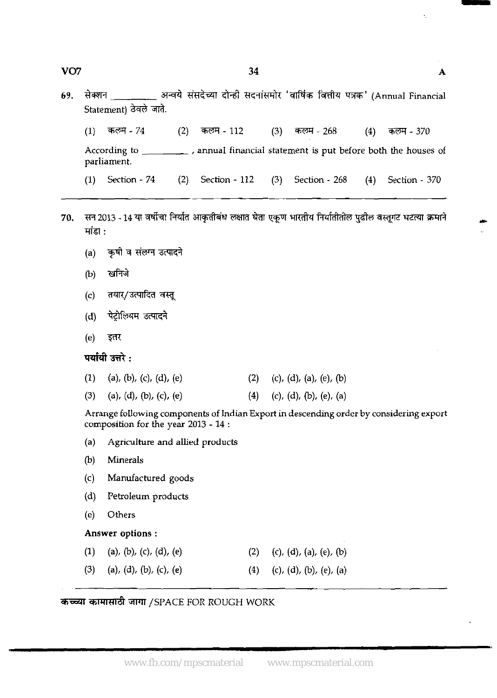**69.** &RR **4** TRb4l **d%?** TKT& '& f&h W' (Annual Financial Statement) *h'8* **d.** 

 $(1)$ कलम - 74  $(2)$ कलम - 112  $(3)$ कलम - 268  $(4)$ कलम - 370 According to \_\_\_\_\_\_\_\_\_, annual financial statement is put before both the houses of parliament. (1) Section - 74 (2) Section - 112 (3) Section - 268 (4) Section - 370

- सन 2013 14 या वर्षीचा निर्यात आकृतीबंध लक्षात घेता एकूण भारतीय निर्यातीतील पुढील वस्तूगट घटत्या क्रमाने 70. मांडा $\cdot$ 
	- (a) कृषी व संलग्न उत्पादने
	- खनिजे  $(b)$
	- तयार/उत्पादित वस्तू  $(c)$
	- पेट्रोलियम उत्पादने  $(d)$
	- $(e)$ इतर

पर्यायी उत्तरे :

| $(1)$ (a), (b), (c), (d), (e) | (2) (c), (d), (a), (e), (b) |
|-------------------------------|-----------------------------|
| (3) (a), (d), (b), (c), (e)   | (4) (c), (d), (b), (e), (a) |

Arrange following components of Indian Export in descending order by considering export composition for the year 2013 - 14 :

- (a) Agriculture and allied products
- (b) Minerals
- (c) Manufactured goods
- (d) Petroleum products
- *(e)* Others

**Answer options** :

(1) (a), (b), (c), (d), (e) (2) (c), (d), (a), (e), (b) (3) (a), (d), (b), (c), (e) (4) (c), (d), (b), (e), (a)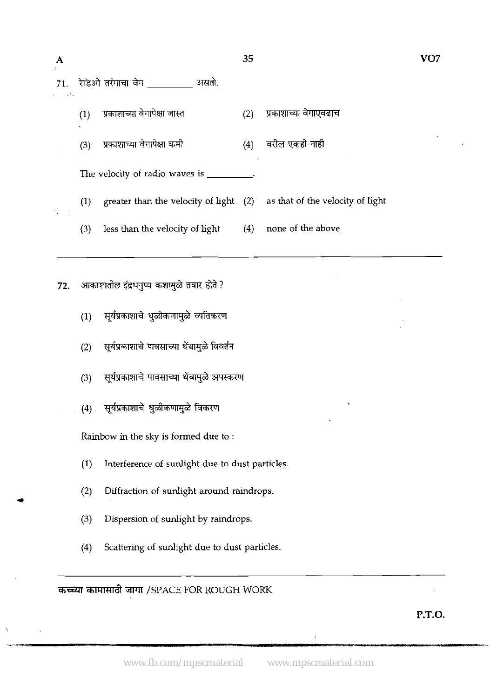| A               |          |                                                 | 35  |                                  | VO7 |
|-----------------|----------|-------------------------------------------------|-----|----------------------------------|-----|
| 71.<br>on and C |          | रेडिओ तरंगाचा वेग __________ असतो.              |     |                                  |     |
|                 | (1)<br>Ù | प्रकाशाच्या वेगापेक्षा जास्त                    | (2) | प्रकाशाच्या वेगाएवढाच            |     |
|                 | (3)      | प्रकाशाच्या वेगापेक्षा कमी                      | (4) | वरील एकही नाही                   |     |
|                 |          | The velocity of radio waves is ______           |     |                                  |     |
|                 | (1)      | greater than the velocity of light $(2)$        |     | as that of the velocity of light |     |
|                 | (3)      | less than the velocity of light                 | (4) | none of the above                |     |
| 72.             |          | आकाशातील इंद्रधनुष्य कशामुळे तयार होते ?        |     |                                  |     |
|                 | (1)      | सूर्यप्रकाशाचे धुळीकणामुळे व्यतिकरण             |     |                                  |     |
|                 | (2)      | सूर्यप्रकाशाचे पावसाच्या थेंबामुळे विवर्तन      |     |                                  |     |
|                 | (3)      | सूर्यप्रकाशाचे पावसाच्या थेंबामुळे अपस्करण      |     |                                  |     |
|                 |          | (4) सूर्यप्रकाशाचे धुळीकणामुळे विकरण            |     |                                  |     |
|                 |          | Rainbow in the sky is formed due to:            |     |                                  |     |
|                 | (1)      | Interference of sunlight due to dust particles. |     |                                  |     |
|                 | (2)      | Diffraction of sunlight around raindrops.       |     |                                  |     |
|                 | (3)      | Dispersion of sunlight by raindrops.            |     |                                  |     |
|                 | (4)      | Scattering of sunlight due to dust particles.   |     |                                  |     |
|                 |          | कच्च्या कामासाठी जागा /SPACE FOR ROUGH WORK     |     |                                  |     |

**P.T.O.** 

í,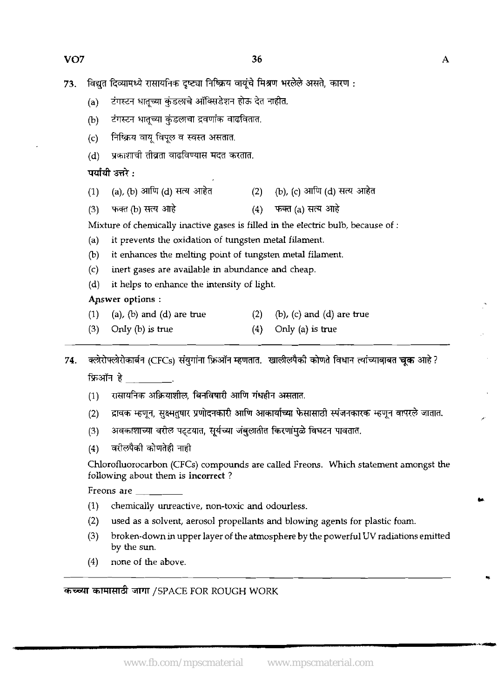- $73.$  विद्युत दिव्यामध्ये रासायनिक दृष्ट्या निष्क्रिय वायुंचे मिश्रण भरलेले असते, कारण :
	- (a) टंगस्टन धातूच्या कुंडलाचे ऑक्सिडेशन होऊ देत नाहीत.
	- (b) टंगस्टन धातूच्या कुंडलाचा द्रवणांक वाढवितात.
	- $(c)$  निष्क्रिय वायू विपूल व स्वस्त असतात.
	- (c) = साम्राज पानू ख़्रूर प स्पर्सा असतात.<br>(d) = प्रकाशाची तीव्रता वाढविण्यास मदत करतात.<br><mark>पर्यायी उत्तरे :</mark>

- (d) प्रकाशाची तीव्रता वाढविण्यास मदत करतात.<br>**पर्यायी उत्तरे :**<br>(1) (a), (b) आणि (d) सत्य आहेत<sup>7</sup> (2) (b), (c) आणि (d) सत्य आहेत<br>(1) राजन (b) सत्य अपने
- 

(3) m@)-& (4) - (a) & Mixture of chemically inactive gases is filled in the electric bulb, because of :

- (a) it prevents the oxidation of tungsten metal filament.
- (b) it enhances the melting point of tungsten metal filament.
- (c) inert gases are available in abundance and cheap.
- (d) it helps to enhance the intensity of light.

# Apswer options :

- (1) (a), (b) and (d) are true (2) (b), (c) and (d) are true
- (3) Only (b) is true  $(4)$  Only (a) is true

7**4. क्लेरोफ्लेरोकार्बन (CFCs) संयुगांना फ्रिऑन म्हणतात. खालीलपैकी कोणते विधान त्यांच्याबाबत <b>चृक** आहे ? फ़िऑन हे

- $(1)$  ससायनिक अक्रियाशील, बिनविषारी आणि गंधहीन असतात.
- द्रावक म्हणून, सुक्ष्मतुषार प्रणोदनकारी आणि आकार्याच्या फेसासाठी स्पंजनकारक म्हणून वापरले जातात.  $(2)$
- अवकाशाच्या वरील पट्टयात, सूर्यच्या जंबुलातीत किरणांमुळे विघटन पावतात.  $(3)$
- वरीलपैकी कोणतेही नाही  $(4)$

Chlorofluorocarbon (CFCs) compounds are called Freons. Which statement amongst the following about them is incorrect ?

Freons are

- (1) chemically unreactive, non-toxic and odourless.
- (2) used as a solvent, aerosol propellants and blowing agents for plastic foam.
- **(3)** broken-down in upper layer of the atmosphere by the powerful UV radiations emitted by the sun.
- (4) none of the above.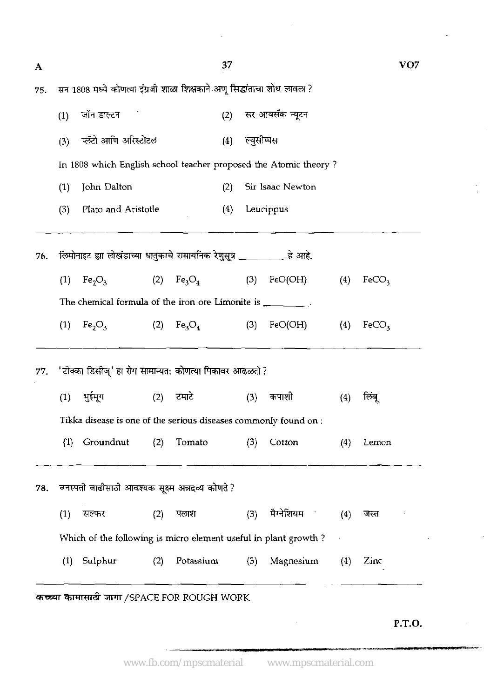| A   |     |                                                                          |     |           | 37  |            |                             |     |                   | VO7    |
|-----|-----|--------------------------------------------------------------------------|-----|-----------|-----|------------|-----------------------------|-----|-------------------|--------|
| 75. |     | सन 1808 मध्ये कोणत्या इंग्रजी शाळा शिक्षकाने अणू सिद्धांताचा शोध लावला ? |     |           |     |            |                             |     |                   |        |
|     | (1) | जॉन डाल्टन                                                               |     |           |     |            | (2) सर आयसॅक न्यूटन         |     |                   |        |
|     | (3) | प्लॅटो आणि अरिस्टोटल                                                     |     |           | (4) | ल्युसोप्पस |                             |     |                   |        |
|     |     | In 1808 which English school teacher proposed the Atomic theory?         |     |           |     |            |                             |     |                   |        |
|     | (1) | John Dalton                                                              |     |           | (2) |            | Sir Isaac Newton            |     |                   |        |
|     | (3) | Plato and Aristotle                                                      |     |           | (4) |            | Leucippus                   |     |                   |        |
| 76. |     | लिमोनाइट ह्या लोखंडाच्या धातुकाचे रासायनिक रेणुसूत्र _________ हे आहे.   |     |           |     |            |                             |     |                   |        |
|     | (1) | $Fe2O3$ (2) $Fe3O4$                                                      |     |           |     |            | $(B) \qquad \text{FeO(OH)}$ | (4) | FeCO <sub>3</sub> |        |
|     |     | The chemical formula of the iron ore Limonite is _________.              |     |           |     |            |                             |     |                   |        |
|     | (1) | $Fe2O3$ (2) $Fe3O4$                                                      |     |           |     |            | $(3) \qquad \text{FeO(OH)}$ | (4) | FeCO <sub>3</sub> |        |
| 77. |     | 'टोक्का डिसीज्' हा रोग सामान्यत: कोणत्या पिकावर आढळतो ?                  |     |           |     |            |                             |     |                   |        |
|     | (1) | भुईमूग                                                                   | (2) | टमार्ट    |     | (3)        | कपाशी                       | (4) | लिबू              |        |
|     |     | Tikka disease is one of the serious diseases commonly found on :         |     |           |     |            |                             |     |                   |        |
|     | (1) | Groundnut                                                                | (2) | Tomato    |     | (3)        | Cotton                      | (4) | Lemon             |        |
| 78. |     | वनस्पती वाढीसाठी आवश्यक सूक्ष्म अन्नद्रव्य कोणते ?                       |     |           |     |            |                             |     |                   |        |
|     | (1) | सल्फर                                                                    | (2) | पलाश      |     | (3)        | मैग्नेशियम                  | (4) | जस्त              |        |
|     |     | Which of the following is micro element useful in plant growth?          |     |           |     |            |                             |     |                   |        |
|     | (1) | Sulphur                                                                  | (2) | Potassium |     | (3)        | Magnesium                   | (4) | Zinc              |        |
|     |     |                                                                          |     |           |     |            |                             |     |                   |        |
|     |     | कच्च्या कामासाठी जागा /SPACE FOR ROUGH WORK                              |     |           |     |            |                             |     |                   |        |
|     |     |                                                                          |     |           |     |            |                             |     |                   | P.T.O. |

 $\hat{\mathcal{A}}$ 

 $\bar{\mathcal{A}}$ 

÷,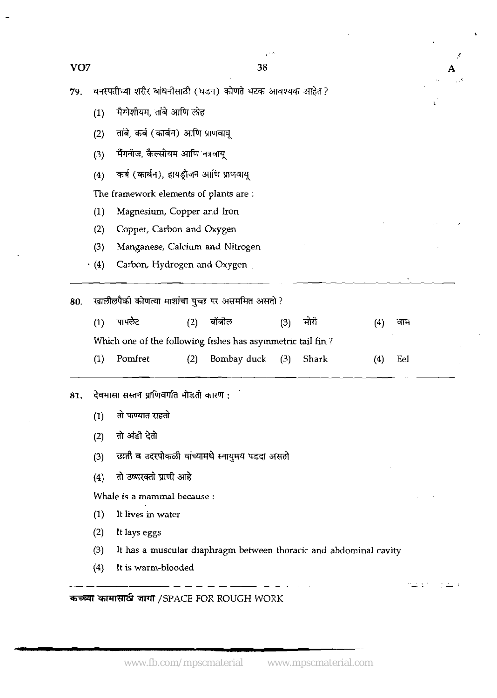Ł

A

 $\chi \rightarrow$ 

ΔÝ

| 79. | वनस्पतीच्या शरीर बांधनीसाठी (धडन) कोणते घटक आवश्यक आहेत? |                                                            |     |             |     |       |     |     |  |  |
|-----|----------------------------------------------------------|------------------------------------------------------------|-----|-------------|-----|-------|-----|-----|--|--|
|     | (1)                                                      | मैग्नेशीयम, तांबे आणि लोह                                  |     |             |     |       |     |     |  |  |
|     | (2)                                                      | तांबे, कर्ब (कार्बन) आणि प्राणवायू                         |     |             |     |       |     |     |  |  |
|     | (3)                                                      | भैँगनीज, कैल्सीयम आणि नत्रवायू                             |     |             |     |       |     |     |  |  |
|     | (4)                                                      | कर्ब (कार्बन), हायड्रोजन आणि प्राणवायू                     |     |             |     |       |     |     |  |  |
|     | The framework elements of plants are :                   |                                                            |     |             |     |       |     |     |  |  |
|     | (1)                                                      | Magnesium, Copper and Iron                                 |     |             |     |       |     |     |  |  |
|     | (2)                                                      | Copper, Carbon and Oxygen                                  |     |             |     |       |     |     |  |  |
|     | (3)                                                      | Manganese, Calcium and Nitrogen                            |     |             |     |       |     |     |  |  |
|     | (4)                                                      | Carbon, Hydrogen and Oxygen                                |     |             |     |       |     |     |  |  |
| 80. | खालीलपैकी कोणत्या माशांचा पुच्छ पर असममित असतो ?         |                                                            |     |             |     |       |     |     |  |  |
|     | (1)                                                      | पापलेट                                                     | (2) | बोबील       | (3) | मोरी  | (4) | वाम |  |  |
|     |                                                          | Which one of the following fishes has asymmetric tail fin? |     |             |     |       |     |     |  |  |
|     | (1)                                                      | Pomfret                                                    | (2) | Bombay duck | (3) | Shark | (4) | Eel |  |  |
| 81. | देवमासा सस्तन प्राणिवर्गात मोडतो कारण :                  |                                                            |     |             |     |       |     |     |  |  |
|     | (1)                                                      | तो पाण्यात राहतो                                           |     |             |     |       |     |     |  |  |
|     | (2)                                                      | तो अंडी देतो                                               |     |             |     |       |     |     |  |  |
|     | (3)                                                      | छाती व उदरपोकळी यांच्यामधे स्नायुमय पडदा असतो              |     |             |     |       |     |     |  |  |
|     | (4)                                                      | तो उष्णरक्ती प्राणी आहे                                    |     |             |     |       |     |     |  |  |
|     |                                                          | Whale is a mammal because :                                |     |             |     |       |     |     |  |  |
|     |                                                          |                                                            |     |             |     |       |     |     |  |  |

- (1) It lives in water
- **(2)** It lays eggs
- (3) It has a muscular diaphragm between thoracic and abdominal cavity
- **(4)** It is warm-blooded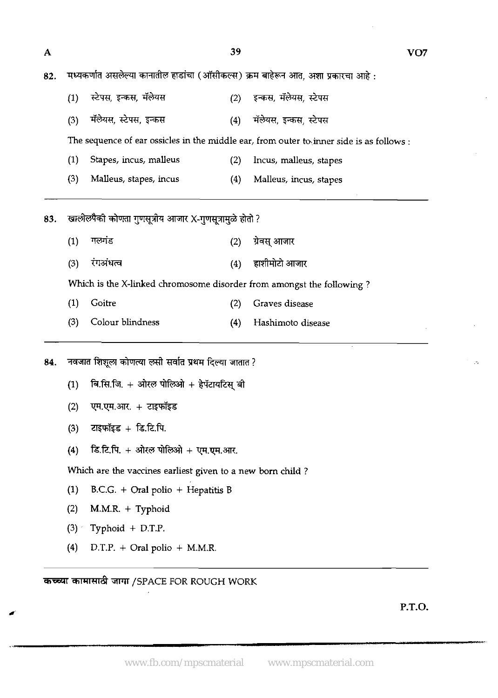- पथ्यकर्णात असलेल्या कानातील हाडांचा (ऑसीकल्स) क्रम बाहेरून आत, अशा प्रकारच<br>(1) स्टेपस, इन्कस, मॅलेयस (2) इन्कस, मॅलेयस, स्टेपस
- नव्यक्रमात जसल्लेषा कामाताल हाडाया (जासाकरस) क्रम बाहरून जाते, अशा प्रकारण<br>(1) स्टेपस, इन्कस, मॅलेयस (2) इन्कस, मॅलेयस, स्टेपस<br>(3) मॅलेयस, स्टेपस, इन्कस (4) मॅले

The sequence of ear ossicles in the middle ear, from outer to inner side is as follows :

- **(1)** Stapes, incus, malleus **(2)** Incus, malleus, stapes
- **(3)** Malleus, stapes, incus **(4)** Malleus, incus, stapes

83. खालीलपैकी कोणता गुणसूत्रीय आजार X-गुणसूत्रामुळे होतो ?

- (1) गलगंड<br>**(2) ग्रेवस्** आजा **(3)** frr?iw **(4)** - Which is the X-linked chromosome disorder from amongst the following ?
- **(1)** Goitre **(2)** Graves disease
- **(3)** Colour blindness **(4)** Hashimoto disease

84. नवजात शिशूला कोणत्या लसी सर्वात प्रथम दिल्या जातात ?

- (1) बि.सि.जि. + ओरल पोलिओ + हेपॅटायटिस बी
- **(2) T7.v.m.** + **7wiFs**
- **(3)** zl\$M\$x + **k.E.R.**
- **(4) हि.टि.पि. + ओरल पोलिओ + एम.एम.आर.**

Which are the vaccines earliest given to a new born child ?

- **(1)** B.C.G. + Oral polio + Hepatitis B
- **(2)** M.M.R. + Typhoid
- **(3)** Typhoid + D.T.P.

**I** 

**(4)** D.T.P. + Oral polio + M.M.R.

*कच्च्या कामासाठी जागा /SPACE FOR ROUGH WORK*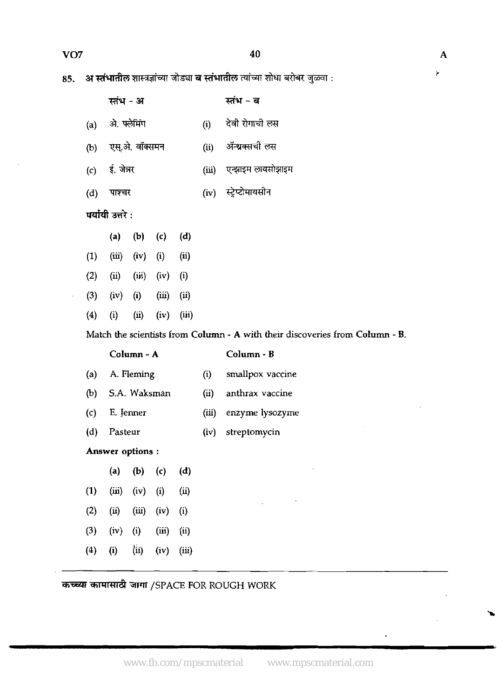85. अ स्तंभातील शास्त्रज्ञांच्या जोड्या ब स्तंभातील त्यांच्या शोधा बरोबर जुळवा :

|     | स्तंभ - अ              |      | स्तंभ - ब               |
|-----|------------------------|------|-------------------------|
|     | (a) ओ. फ्लेमिंग        | (i)  | देवी रोगाची लस          |
| (b) | एस्.अे. वॉक्समन        | (ii) | ॲन्थ्रक्सची लस          |
|     | (c) ई. जेत्रर          |      | (iii) एन्झाइम लायसोझाइम |
| (d) | पाश्चर                 |      | (iv) स्ट्रेप्टोमायसीन   |
|     | पर्यायी उत्तरे $\cdot$ |      |                         |
|     |                        |      |                         |

|                  | $\sf(a)$  | (b)      | (c)        | $\bf (d)$     |  |
|------------------|-----------|----------|------------|---------------|--|
| (1)              | (iii)     | (iv)     | $\bf{(i)}$ | (ii)          |  |
| (2)              | $\rm(ii)$ | (iii)    | (iv)       | $\rm \bf (i)$ |  |
| (3)              | (iv)      | $\bf(i)$ | (iii)      | (ii)          |  |
| $\left(4\right)$ | $\rm(i)$  | (ii)     | (iv)       | (iii)         |  |

Match the scientists from Column - A with their discoveries from Column - B.

Column - A Column - B

| (a) | A. Fleming       | (i)   | smallpox vaccine |
|-----|------------------|-------|------------------|
|     | (b) S.A. Waksman | (ii)  | anthrax vaccine  |
| (c) | E. Jenner        | (iii) | enzyme lysozyme  |
|     | (d) Pasteur      | (iv)  | streptomycin     |

Answer options :

|                   | $\left( \mathsf{a}\right)$           | (b)      | (c)      | (d)      |  |
|-------------------|--------------------------------------|----------|----------|----------|--|
| $\left(1\right)$  | (iii)                                | (iv)     | $\bf(i)$ | (ii)     |  |
| (2)               | $\left(\overline{\mathbf{u}}\right)$ | (iii)    | (iv)     | $\bf(i)$ |  |
| (3)               | (iv)                                 | $\rm(i)$ | (iii)    | (ii)     |  |
| $\left( 4\right)$ | (i)                                  | (ii)     | (iv)     | (iii)    |  |

*कच्च्या कामासाठी जागा /SPACE FOR ROUGH WORK* 

Ý.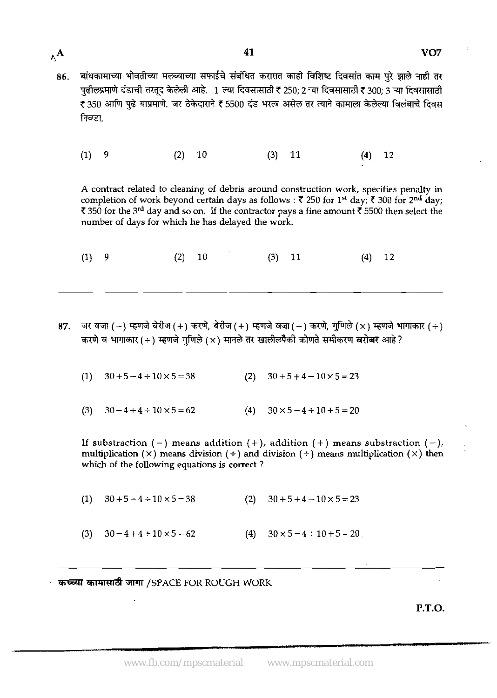बांधकामाच्या भोवतीच्या मलब्याच्या सफाईचे संबंधित करारात काही विशिष्ट दिवसांत काम पूरे झाले नाही तर 86. पढीलप्रमाणे दंडाची तरतुद केलेली आहे. 1 ल्या दिवसासाठी ₹ 250; 2 ऱ्या दिवसासाठी ₹ 300; 3 ऱ्या दिवसासाठी ₹ 350 आणि पुढे याप्रमाणे. जर ठेकेदाराने ₹ 5500 दंड भरला असेल तर त्याने कामाला केलेल्या विलंबाचे दिवस निवडा

41

 $(1)$ 9  $(2) 10$  $(3)$  11  $(4)$ 12

 $A^{\mathbf{A}}$ 

A contract related to cleaning of debris around construction work, specifies penalty in completion of work beyond certain days as follows :  $\bar{\zeta}$  250 for 1<sup>st</sup> day;  $\bar{\zeta}$  300 for 2<sup>nd</sup> day;  $\bar{\mathfrak{c}}$  350 for the 3<sup>rd</sup> day and so on. If the contractor pays a fine amount  $\bar{\mathfrak{c}}$  5500 then select the number of days for which he has delayed the work.

 $(1)$ 9  $(2)$  $10$  $(3)$ 11  $(4)$  12

- 87. जर वजा ( ) म्हणजे बेरीज ( + ) करणे, बेरीज ( + ) म्हणजे वजा ( ) करणे, गुणिले ( $\times$  ) म्हणजे भागाकार ( ÷ ) करणे व भागाकार (÷) म्हणजे गुणिले (×) मानले तर खालीलपैकी कोणते समीकरण **बरोबर** आहे ?
	- $30 + 5 4 \div 10 \times 5 = 38$  $30 + 5 + 4 - 10 \times 5 = 23$  $(1)$  $(2)$
	- $(3)$  $30 - 4 + 4 \div 10 \times 5 = 62$  $(4)$  $30 \times 5 - 4 \div 10 + 5 = 20$

If substraction (-) means addition (+), addition (+) means substraction (-), multiplication (x) means division ( $\div$ ) and division ( $\div$ ) means multiplication (x) then which of the following equations is **correct** ?

(2)  $30 + 5 + 4 - 10 \times 5 = 23$  $30 + 5 - 4 \div 10 \times 5 = 38$  $(1)$ 

 $30 - 4 + 4 - 10 \times 5 = 62$ (4)  $30 \times 5 - 4 \div 10 + 5 = 20$  $(3)$ 

कच्च्या कामासाठी जागा /SPACE FOR ROUGH WORK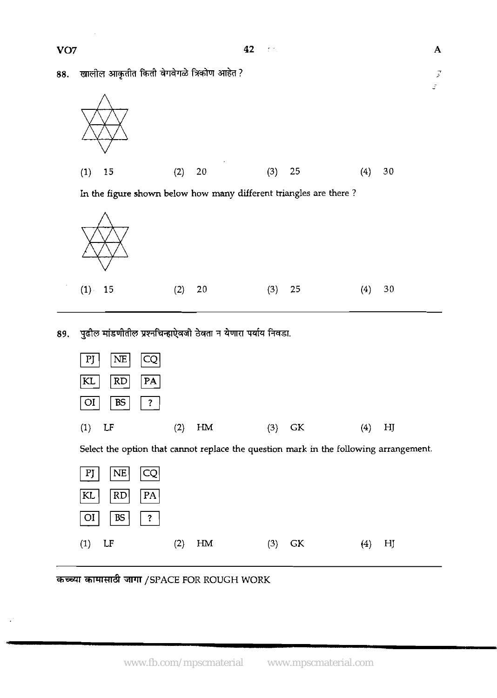$\overline{\mathbf{A}}$ 

 $\vec{z}$  $\mathcal{L}$ 

खालील आकृतीत किती वेगवेगळे त्रिकोण आहेत ? 88.



In the figure shown below how **many** different triangles are there ?



पुढील मांडणीतील प्रश्नचिन्हाऐवजी ठेवता न येणारा पर्याय निवडा. 89.



# VO<sub>7</sub>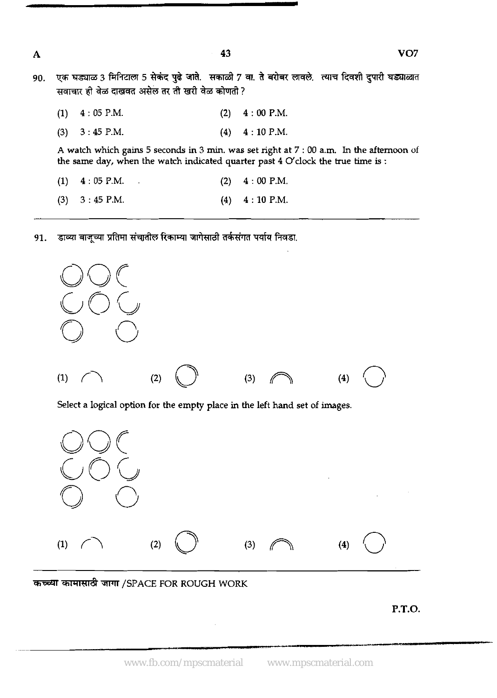VO<sub>7</sub>

एक घड्याळ 3 मिनिटाला 5 सेकंद पुढे जाते. सकाळी 7 वा. ते बरोबर लावले. त्याच दिवशी दुपारी घड्याळात 90. सवाचार ही वेळ दाखवत असेल तर ती खरी वेळ कोणती ?

43

| $(1)$ 4:05 P.M.   | (2) | $4:00$ P.M.                                                                                                                                                                    |
|-------------------|-----|--------------------------------------------------------------------------------------------------------------------------------------------------------------------------------|
| $(3)$ 3 : 45 P.M. |     | $(4)$ 4 : 10 P.M.                                                                                                                                                              |
|                   |     | A watch which gains 5 seconds in 3 min, was set right at 7 : 00 a.m. In the afternoon of<br>the same day, when the watch indicated quarter past $4$ O'clock the true time is : |
| $(1)$ 4:05 P.M.   | (2) | 4:00 P.M.                                                                                                                                                                      |
| $(3)$ 3 : 45 P.M. |     | $(4)$ 4 : 10 P.M.                                                                                                                                                              |

डाव्या बाजूच्या प्रतिमा संचातील रिकाम्या जागेसाठी तर्कसंगत पर्याय निवडा. 91.



कच्च्या कामासाठी जागा /SPACE FOR ROUGH WORK

**P.T.O.** 

www.fb.com/mpscmaterial www.mpscmaterial.com

 $\mathbf{A}$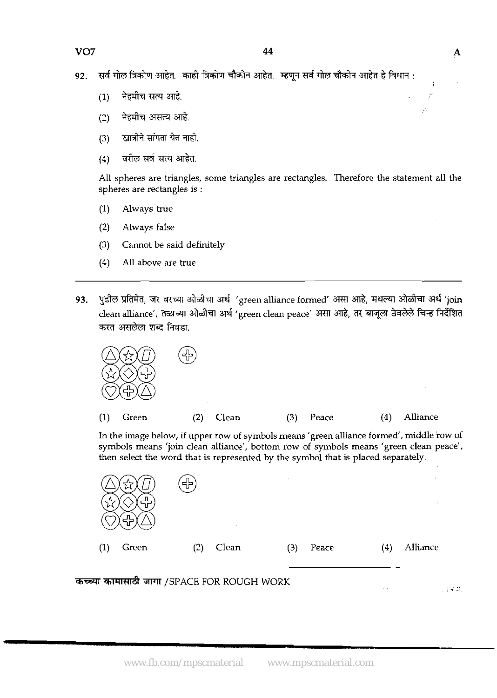सर्व गोल त्रिकोण आहेत. काही त्रिकोण चौकोन आहेत. म्हणून सर्व गोल चौकोन आहेत हे विधान : 92.

- नेहमीच सत्य आहे.  $(1)$
- नेहमीच असत्य आहे.  $(2)$
- खात्रोने सांगता येत नाही.  $(3)$
- वरील सर्व सत्य आहेत.  $(4)$

All spheres are triangles, some triangles are rectangles. Therefore the statement all the spheres are rectangles is :

- (1) Always true
- (2) Always false
- (3) Cannot be said definitely
- (4) All above are true
- **93. M,** <sup>T</sup>&E&TI **ad** 'green alliance formed' srrn &, qm \* **ad** 'join clean alliance', &&4l 'green clean peace' srrn &, 37 k% f%5 %??Rl करत असलेला शब्द निवडा.



In the image below, if upper row of symbols means 'green alliance formed', middle row of symbols means 'join clean alliance', bottom row of symbols means 'green clean peace', then select the word that is represented by the symbol that is placed separately.



÷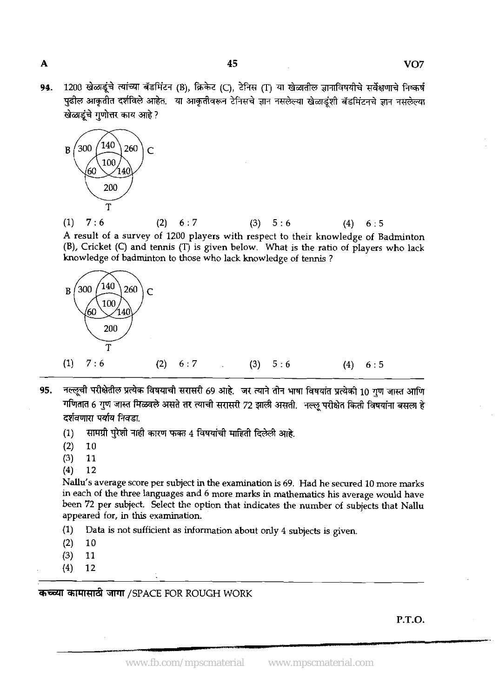**94.** 1200 खेळाडूंचे त्यांच्या बॅडमिंटन (B), क्रिकेट (C), टेनिस (T) या खेळातील ज्ञानाविषयीचे सर्वेक्षणाचे निष्कर्ष<br>पुढील आकृतीत दर्शविले आहेत. या आकृतीवरून टेनिसचे ज्ञान नसलेल्या खेळाडूंशी बॅडमिंटनचे ज्ञान नसलेल्या खेळाडंचे गणोत्तर काय आहे?



(1) 7 : **6** (2) **6** : 7 (3) 5 : **6** (4) **6** : 5 A result of a survey of 1200 players with respect to their knowledge of Badminton (B), Cricket (C) and tennis (T) is given below. What is the ratio of players who lack knowledge of badminton to those who lack knowledge of tennis ?



- 95. नल्लूची परीक्षेतील प्रत्येक विषयाची सरासरी 69 आहे. जर त्याने तीन भाषा विषयांत प्रत्येकी 10 गण जास्त आणि गणितात 6 गुण जास्त मिळवले असते तर त्याची सरासरी 72 झाली असती. नल्लू परीक्षेत किती विषयांना बसला हे<br>दर्शवणारा पर्याय निवडा.
	- $(1)$  सामग्री पुरेशी नाही कारण फक्त 4 विषयांची माहिती दिलेली आहे.
	- $(2)$  10<br> $(3)$  11
	- $(3)$  11<br> $(4)$  12
	- $(4)$

Nallu's average score per subject in the examination is **69.** Had he secured 10 more marks in each of the three languages and **6** more marks **in** mathematics his average would have been 72 per subject. Select the option that indicates the number of subjects that Nallu appeared for, in this examination.

- (1) Data is not sufficient as information about only 4 subjects is given.
- $(2) 10$
- **(3)** 11
- **(4) 12**

**कच्च्या कामासाठी जागा /SPACE FOR ROUGH WORK** 

**P.T.O.** 

www.fb.com/mpscmaterial www.mpscmaterial.com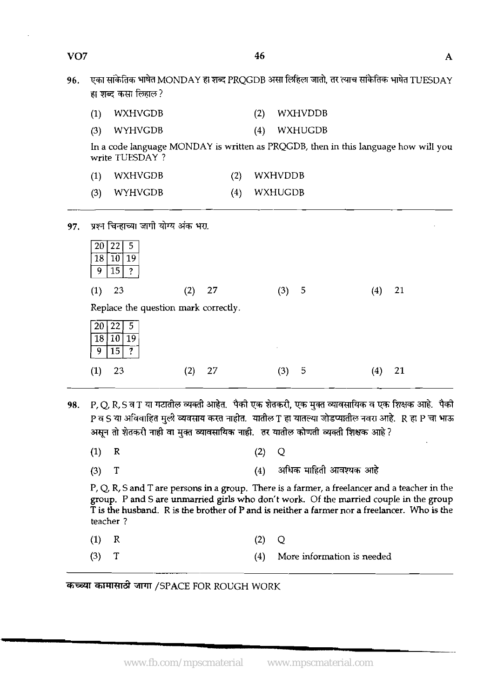| VO <sub>7</sub> |     |                     | 46  |                                                                                           | A |
|-----------------|-----|---------------------|-----|-------------------------------------------------------------------------------------------|---|
| 96.             |     | हा शब्द कसा लिहाल ? |     | एका सांकेतिक भाषेत MONDAY हा शब्द PRQGDB असा लिहिला जातो, तर त्याच सांकेतिक भाषेत TUESDAY |   |
|                 |     | WXHVGDB             | (2) | WXHVDDB                                                                                   |   |
|                 | (3) | WYHVGDB             | (4) | WXHUGDB                                                                                   |   |
|                 |     |                     |     |                                                                                           |   |

46

In a code language MONDAY is written as PRQGDB, then in this language how will you write TUESDAY ?

- **(1)** WXHVGDB **(2)** WXHVDDB
- **(3)** WYHVGDB **(4)** WXHUGDB
- पश्न चिन्हाच्या जागी योग्य अंक भरा. 97.  $20|22|$  $\overline{5}$  $\overline{18}$  $10|19$

 $9 \overline{15}$  ?

| -23<br>(1)     | 27<br>(2)                            | (3)<br>$\mathcal{P}$ | 21           |
|----------------|--------------------------------------|----------------------|--------------|
|                | Replace the question mark correctly. |                      |              |
| 19<br>18<br>10 |                                      |                      |              |
| .5<br>n<br>9   |                                      | $\sim$               |              |
| 23             | 27                                   | 5<br>3)              | $^{\prime}4$ |
|                |                                      |                      |              |

- P.O.R.S व T या गटातील व्यक्ती आहेत. पैकी एक शेतकरी, एक मुक्त व्यावसायिक व एक शिक्षक आहे. पैकी 98. P व S या अविवाहित मुली व्यवसाय करत नाहीत. यातील T हा यातल्या जोडप्यातील नवरा आहे. R हा P चा भाऊ असून तो शेतकरी नाही वा मुक्त व्यावसायिक नाही. तर यातील कोणती व्यक्ती शिक्षक आहे?
	- $(1)$  $\mathbf R$  $(2)$  $\overline{O}$
	- $(4)$  अधिक माहिती आवश्यक आहे  $(3)$ T

P, Q, R, S and T are persons in a group. There is a farmer, a freelancer and a teacher in the group. P and S are unmarried **girls** who don't work. Of the married couple in the group T is the husband. R is the brother of P and is neither a farmer nor a freelancer. **Who** is the teacher ?

- $(1)$  $\mathbb{R}$ **(2) Q**
- $(3)$  $\mathbf T$ **(4)** More information **is** needed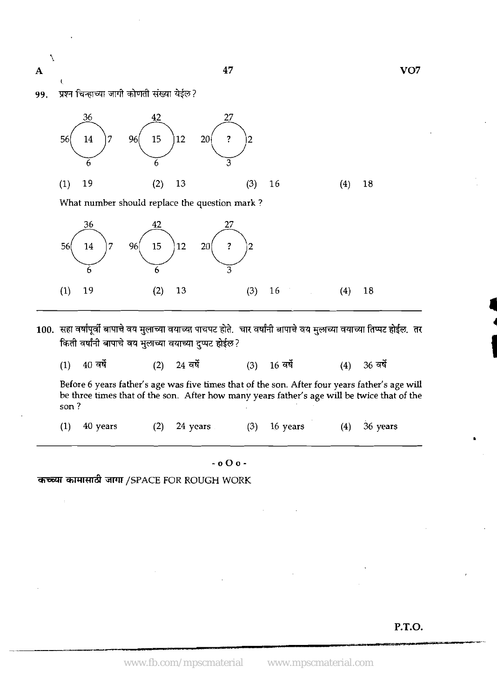47

VO<sub>7</sub>

प्रश्न चिन्हाच्या जागी कोणती संख्या येईल? 99.

 $\overline{\phantom{0}}$ 

 $\overline{\mathbf{A}}$ 



- 100. सहा वर्षांपूर्वी बापाचे वय मुलाच्या वयाच्या पाचपट होते. चार वर्षांनी बापाचे वय मुलाच्या वयाच्या तिप्पट होईल. तर किती वर्षांनी बापाचे वय मुलाच्या वयाच्या दप्पट होईल?
	- $40$  वर्षे 36 वर्षे  $(1)$ 24 वर्षे  $16$  वर्षे  $(2)$  $(3)$  $(4)$

Before **6** years father's age was five times that of the son. After four years father's age will be three times that of the son. After how many years father's age will be twice that of the son ?

**(1) 40** years **(2) 24** years **(3) 16** years **(4) 36** years

**-000-** 

**कच्च्या कामासाठी जागा /SPACE FOR ROUGH WORK** 

**P.T.O.** 

-<br>-<br>-<br>-